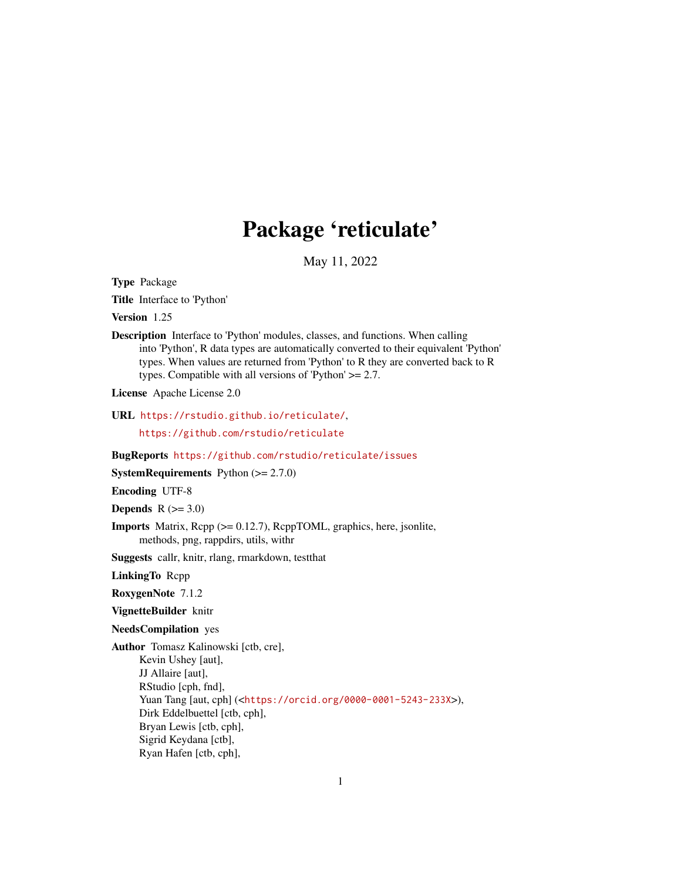## Package 'reticulate'

May 11, 2022

<span id="page-0-0"></span>Type Package

Title Interface to 'Python'

Version 1.25

Description Interface to 'Python' modules, classes, and functions. When calling into 'Python', R data types are automatically converted to their equivalent 'Python' types. When values are returned from 'Python' to R they are converted back to R types. Compatible with all versions of 'Python' >= 2.7.

License Apache License 2.0

URL <https://rstudio.github.io/reticulate/>,

<https://github.com/rstudio/reticulate>

BugReports <https://github.com/rstudio/reticulate/issues>

**SystemRequirements** Python  $(>= 2.7.0)$ 

Encoding UTF-8

Depends  $R$  ( $>= 3.0$ )

Imports Matrix, Rcpp (>= 0.12.7), RcppTOML, graphics, here, jsonlite, methods, png, rappdirs, utils, withr

Suggests callr, knitr, rlang, rmarkdown, testthat

LinkingTo Rcpp

RoxygenNote 7.1.2

VignetteBuilder knitr

NeedsCompilation yes

Author Tomasz Kalinowski [ctb, cre], Kevin Ushey [aut], JJ Allaire [aut], RStudio [cph, fnd], Yuan Tang [aut, cph] (<<https://orcid.org/0000-0001-5243-233X>>), Dirk Eddelbuettel [ctb, cph], Bryan Lewis [ctb, cph], Sigrid Keydana [ctb], Ryan Hafen [ctb, cph],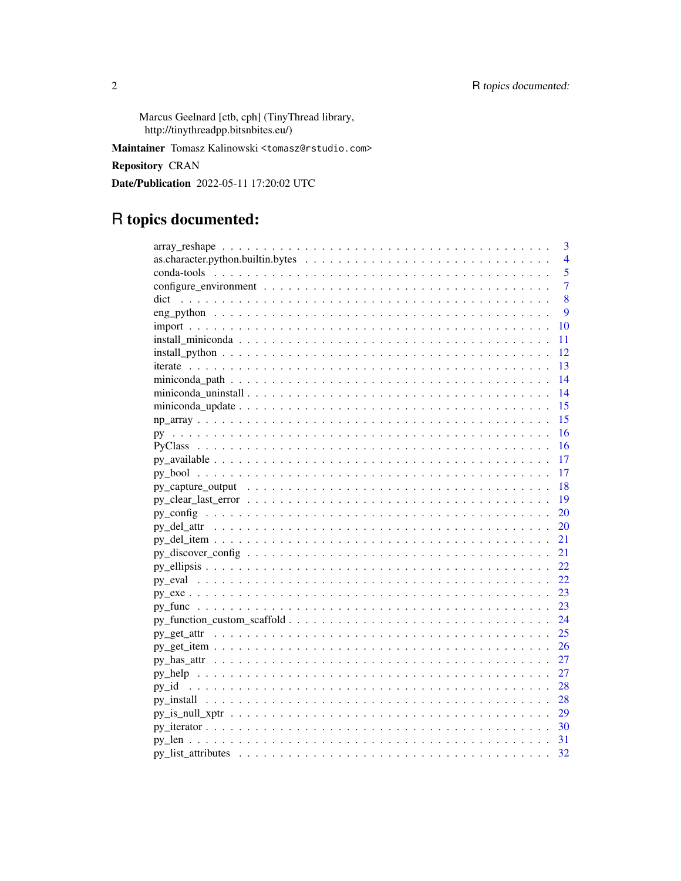Marcus Geelnard [ctb, cph] (TinyThread library, http://tinythreadpp.bitsnbites.eu/)

Maintainer Tomasz Kalinowski <tomasz@rstudio.com>

**Repository CRAN** 

Date/Publication 2022-05-11 17:20:02 UTC

## R topics documented:

| 3                                                                                                                  |
|--------------------------------------------------------------------------------------------------------------------|
| $\overline{4}$                                                                                                     |
| 5                                                                                                                  |
| $\overline{7}$                                                                                                     |
| 8                                                                                                                  |
| 9                                                                                                                  |
| 10                                                                                                                 |
| 11                                                                                                                 |
| $install\_python \ldots \ldots \ldots \ldots \ldots \ldots \ldots \ldots \ldots \ldots \ldots \ldots \ldots$<br>12 |
| -13                                                                                                                |
| 14                                                                                                                 |
| 14                                                                                                                 |
| 15                                                                                                                 |
| 15                                                                                                                 |
| 16                                                                                                                 |
| 16                                                                                                                 |
| 17                                                                                                                 |
| 17                                                                                                                 |
| 18                                                                                                                 |
| 19                                                                                                                 |
| 20                                                                                                                 |
| 20                                                                                                                 |
| 21                                                                                                                 |
| 21                                                                                                                 |
| 22                                                                                                                 |
| 22                                                                                                                 |
| 23                                                                                                                 |
| 23                                                                                                                 |
| 24                                                                                                                 |
| 25                                                                                                                 |
| 26                                                                                                                 |
| 27                                                                                                                 |
| 27                                                                                                                 |
| 28                                                                                                                 |
|                                                                                                                    |
| $py_is\_null\_xptr \ldots \ldots \ldots \ldots \ldots \ldots \ldots \ldots \ldots \ldots \ldots \ldots \ldots 29$  |
|                                                                                                                    |
|                                                                                                                    |
| 32                                                                                                                 |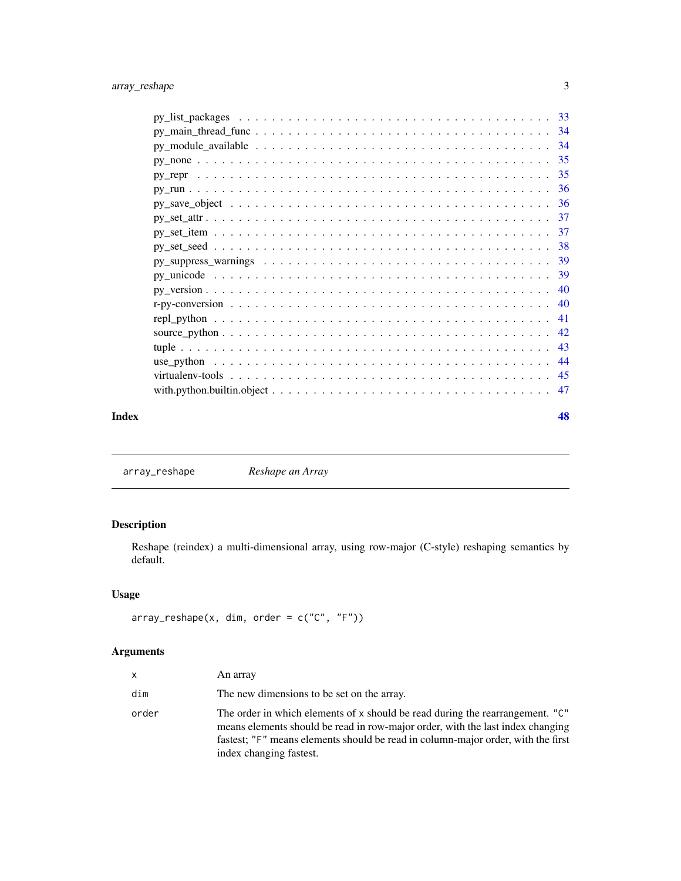<span id="page-2-0"></span>

| Index | 48 |
|-------|----|

array\_reshape *Reshape an Array*

### Description

Reshape (reindex) a multi-dimensional array, using row-major (C-style) reshaping semantics by default.

### Usage

```
array\_reshape(x, dim, order = c("C", "F"))
```

| x     | An array                                                                                                                                                                                                                                                                       |
|-------|--------------------------------------------------------------------------------------------------------------------------------------------------------------------------------------------------------------------------------------------------------------------------------|
| dim   | The new dimensions to be set on the array.                                                                                                                                                                                                                                     |
| order | The order in which elements of x should be read during the rearrangement. "C"<br>means elements should be read in row-major order, with the last index changing<br>fastest; "F" means elements should be read in column-major order, with the first<br>index changing fastest. |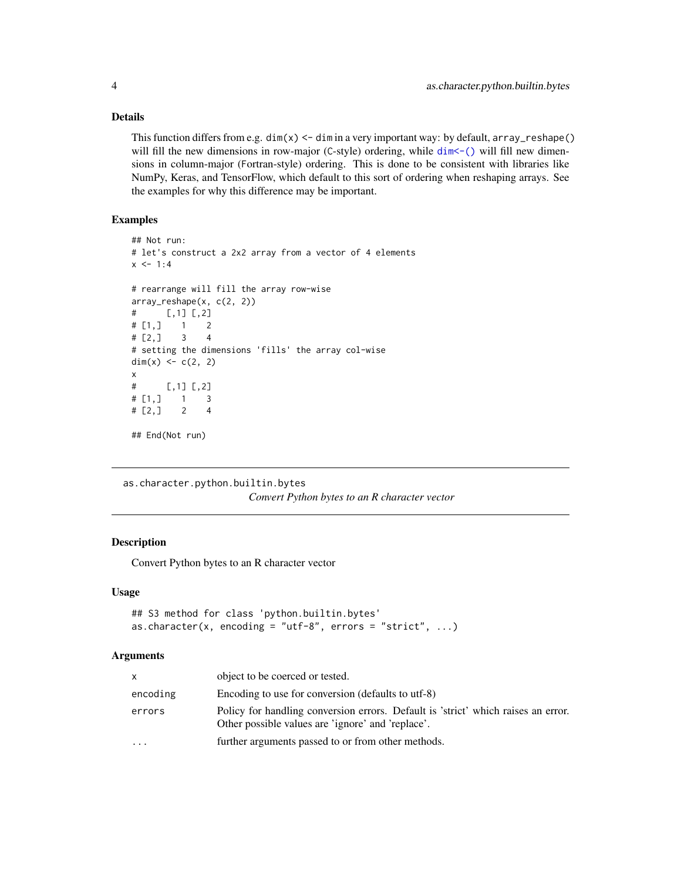#### Details

This function differs from e.g.  $dim(x) < -dim$  in a very important way: by default,  $array\_reshape()$ will fill the new dimensions in row-major (C-style) ordering, while  $dim \lt-$  () will fill new dimensions in column-major (Fortran-style) ordering. This is done to be consistent with libraries like NumPy, Keras, and TensorFlow, which default to this sort of ordering when reshaping arrays. See the examples for why this difference may be important.

#### Examples

```
## Not run:
# let's construct a 2x2 array from a vector of 4 elements
x < -1:4# rearrange will fill the array row-wise
array_reshape(x, c(2, 2))
# [,1] [,2]
# [1,] 1 2
# [2,] 3 4
# setting the dimensions 'fills' the array col-wise
dim(x) <- c(2, 2)x
# [,1] [,2]
# [1,] 1 3
# [2, 3 2 4## End(Not run)
```
as.character.python.builtin.bytes *Convert Python bytes to an R character vector*

#### Description

Convert Python bytes to an R character vector

#### Usage

```
## S3 method for class 'python.builtin.bytes'
as.character(x, encoding = "utf-8", errors = "strict", \dots)
```

| X.        | object to be coerced or tested.                                                                                                        |
|-----------|----------------------------------------------------------------------------------------------------------------------------------------|
| encoding  | Encoding to use for conversion (defaults to utf-8)                                                                                     |
| errors    | Policy for handling conversion errors. Default is 'strict' which raises an error.<br>Other possible values are 'ignore' and 'replace'. |
| $\ddotsc$ | further arguments passed to or from other methods.                                                                                     |

<span id="page-3-0"></span>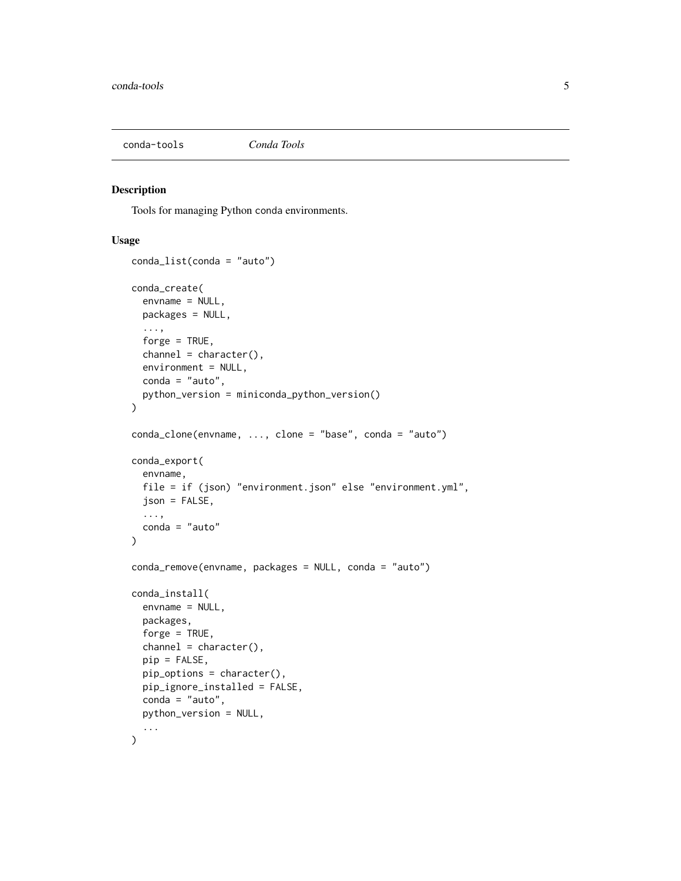<span id="page-4-1"></span><span id="page-4-0"></span>

Tools for managing Python conda environments.

#### Usage

```
conda_list(conda = "auto")
conda_create(
  envname = NULL,
 packages = NULL,
  ...,
  forge = TRUE,
  channel = character(),environment = NULL,
  conda = "auto",python_version = miniconda_python_version()
)
conda_clone(envname, ..., clone = "base", conda = "auto")
conda_export(
 envname,
  file = if (json) "environment.json" else "environment.yml",
  json = FALSE,
  ...,
  conda = "auto"
\lambdaconda_remove(envname, packages = NULL, conda = "auto")
conda_install(
  envname = NULL,
 packages,
  forge = TRUE,
  channel = character(),pip = FALSE,pip_options = character(),
 pip_ignore_installed = FALSE,
  conda = "auto",python_version = NULL,
  ...
)
```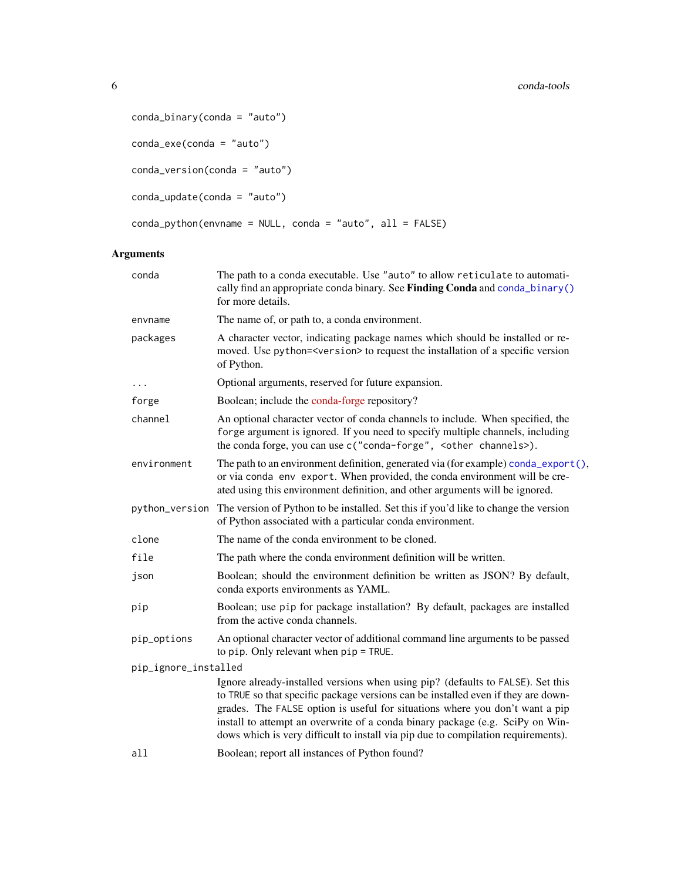```
conda_binary(conda = "auto")
conda_exe(conda = "auto")
conda_version(conda = "auto")
conda_update(conda = "auto")
conda_python(envname = NULL, conda = "auto", all = FALSE)
```

| conda                | The path to a conda executable. Use "auto" to allow reticulate to automati-<br>cally find an appropriate conda binary. See Finding Conda and conda_binary()<br>for more details.                                                                                                                                                                                                                                           |
|----------------------|----------------------------------------------------------------------------------------------------------------------------------------------------------------------------------------------------------------------------------------------------------------------------------------------------------------------------------------------------------------------------------------------------------------------------|
| envname              | The name of, or path to, a conda environment.                                                                                                                                                                                                                                                                                                                                                                              |
| packages             | A character vector, indicating package names which should be installed or re-<br>moved. Use python= <version> to request the installation of a specific version<br/>of Python.</version>                                                                                                                                                                                                                                   |
|                      | Optional arguments, reserved for future expansion.                                                                                                                                                                                                                                                                                                                                                                         |
| forge                | Boolean; include the conda-forge repository?                                                                                                                                                                                                                                                                                                                                                                               |
| channel              | An optional character vector of conda channels to include. When specified, the<br>forge argument is ignored. If you need to specify multiple channels, including<br>the conda forge, you can use c("conda-forge", <other channels="">).</other>                                                                                                                                                                            |
| environment          | The path to an environment definition, generated via (for example) conda_export(),<br>or via conda env export. When provided, the conda environment will be cre-<br>ated using this environment definition, and other arguments will be ignored.                                                                                                                                                                           |
| python_version       | The version of Python to be installed. Set this if you'd like to change the version<br>of Python associated with a particular conda environment.                                                                                                                                                                                                                                                                           |
| clone                | The name of the conda environment to be cloned.                                                                                                                                                                                                                                                                                                                                                                            |
| file                 | The path where the conda environment definition will be written.                                                                                                                                                                                                                                                                                                                                                           |
| json                 | Boolean; should the environment definition be written as JSON? By default,<br>conda exports environments as YAML.                                                                                                                                                                                                                                                                                                          |
| pip                  | Boolean; use pip for package installation? By default, packages are installed<br>from the active conda channels.                                                                                                                                                                                                                                                                                                           |
| pip_options          | An optional character vector of additional command line arguments to be passed<br>to pip. Only relevant when $pip = TRUE$ .                                                                                                                                                                                                                                                                                                |
| pip_ignore_installed |                                                                                                                                                                                                                                                                                                                                                                                                                            |
|                      | Ignore already-installed versions when using pip? (defaults to FALSE). Set this<br>to TRUE so that specific package versions can be installed even if they are down-<br>grades. The FALSE option is useful for situations where you don't want a pip<br>install to attempt an overwrite of a conda binary package (e.g. SciPy on Win-<br>dows which is very difficult to install via pip due to compilation requirements). |
| all                  | Boolean; report all instances of Python found?                                                                                                                                                                                                                                                                                                                                                                             |
|                      |                                                                                                                                                                                                                                                                                                                                                                                                                            |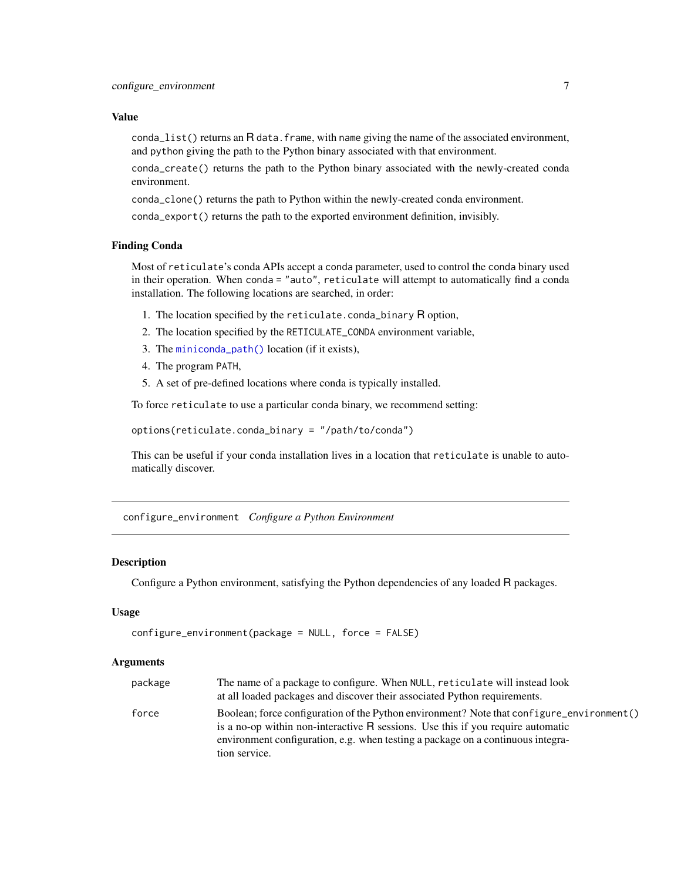#### <span id="page-6-0"></span>Value

 $\text{cond}_\text{all}$  ist() returns an R data. frame, with name giving the name of the associated environment, and python giving the path to the Python binary associated with that environment.

conda\_create() returns the path to the Python binary associated with the newly-created conda environment.

conda\_clone() returns the path to Python within the newly-created conda environment.

conda\_export() returns the path to the exported environment definition, invisibly.

#### Finding Conda

Most of reticulate's conda APIs accept a conda parameter, used to control the conda binary used in their operation. When conda = "auto", reticulate will attempt to automatically find a conda installation. The following locations are searched, in order:

- 1. The location specified by the reticulate.conda\_binary R option,
- 2. The location specified by the RETICULATE\_CONDA environment variable,
- 3. The [miniconda\\_path\(\)](#page-13-1) location (if it exists),
- 4. The program PATH,
- 5. A set of pre-defined locations where conda is typically installed.

To force reticulate to use a particular conda binary, we recommend setting:

options(reticulate.conda\_binary = "/path/to/conda")

This can be useful if your conda installation lives in a location that reticulate is unable to automatically discover.

configure\_environment *Configure a Python Environment*

#### Description

Configure a Python environment, satisfying the Python dependencies of any loaded R packages.

#### Usage

```
configure_environment(package = NULL, force = FALSE)
```

| package | The name of a package to configure. When NULL, reticulate will instead look<br>at all loaded packages and discover their associated Python requirements.                                                                                                                                |
|---------|-----------------------------------------------------------------------------------------------------------------------------------------------------------------------------------------------------------------------------------------------------------------------------------------|
| force   | Boolean; force configuration of the Python environment? Note that configure_environment()<br>is a no-op within non-interactive $\bf{R}$ sessions. Use this if you require automatic<br>environment configuration, e.g. when testing a package on a continuous integra-<br>tion service. |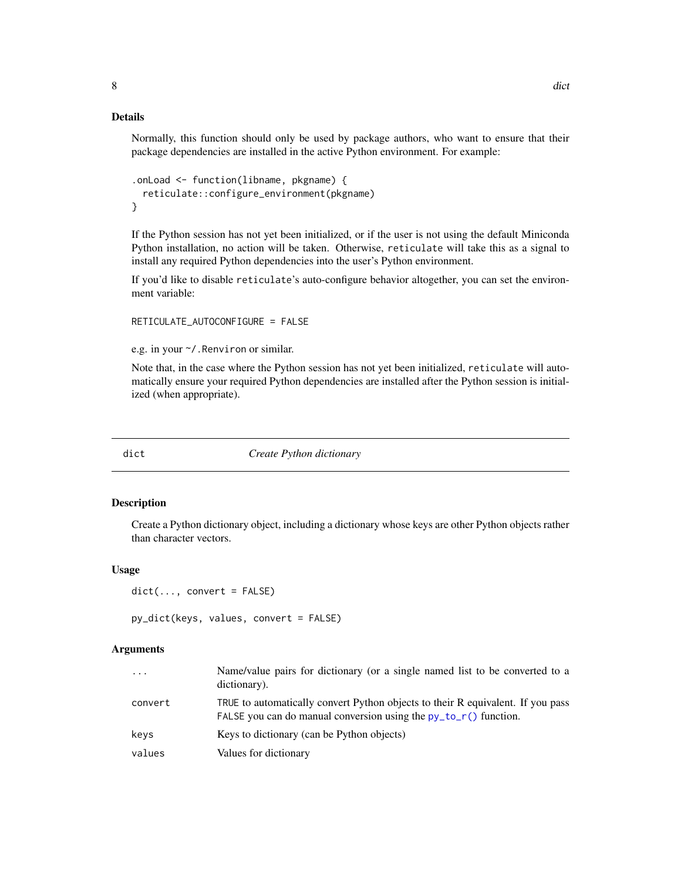#### Details

Normally, this function should only be used by package authors, who want to ensure that their package dependencies are installed in the active Python environment. For example:

```
.onLoad <- function(libname, pkgname) {
  reticulate::configure_environment(pkgname)
}
```
If the Python session has not yet been initialized, or if the user is not using the default Miniconda Python installation, no action will be taken. Otherwise, reticulate will take this as a signal to install any required Python dependencies into the user's Python environment.

If you'd like to disable reticulate's auto-configure behavior altogether, you can set the environment variable:

RETICULATE\_AUTOCONFIGURE = FALSE

e.g. in your ~/.Renviron or similar.

Note that, in the case where the Python session has not yet been initialized, reticulate will automatically ensure your required Python dependencies are installed after the Python session is initialized (when appropriate).

dict *Create Python dictionary*

#### Description

Create a Python dictionary object, including a dictionary whose keys are other Python objects rather than character vectors.

#### Usage

```
dict(..., convert = FALSE)
```

```
py_dict(keys, values, convert = FALSE)
```

| $\ddots$ . | Name/value pairs for dictionary (or a single named list to be converted to a<br>dictionary).                                                          |
|------------|-------------------------------------------------------------------------------------------------------------------------------------------------------|
| convert    | TRUE to automatically convert Python objects to their R equivalent. If you pass<br>FALSE you can do manual conversion using the $py_to_r()$ function. |
| keys       | Keys to dictionary (can be Python objects)                                                                                                            |
| values     | Values for dictionary                                                                                                                                 |

<span id="page-7-0"></span>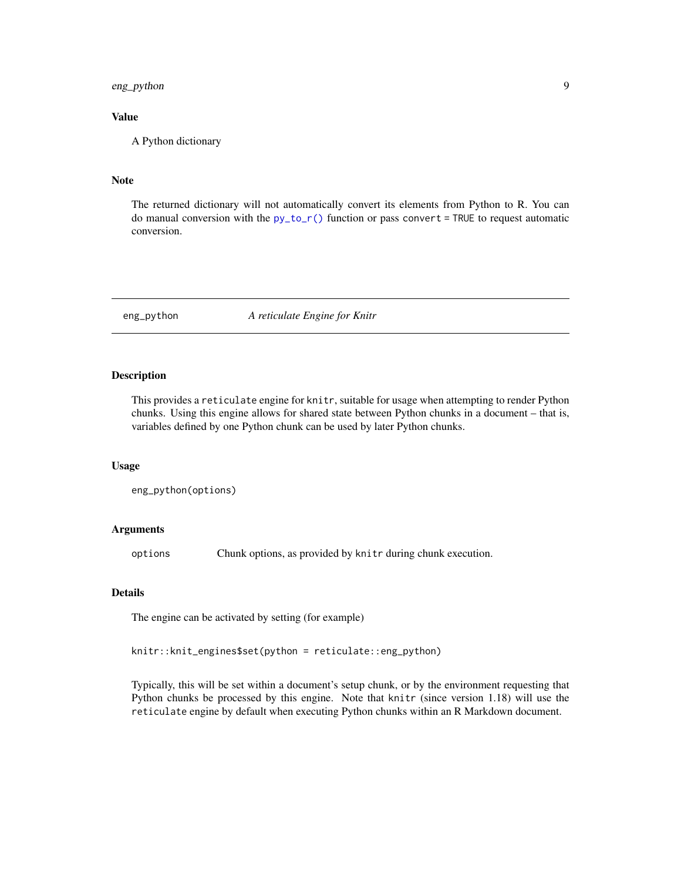#### <span id="page-8-0"></span>eng\_python 9

#### Value

A Python dictionary

#### Note

The returned dictionary will not automatically convert its elements from Python to R. You can do manual conversion with the  $py_to_r()$  function or pass convert = TRUE to request automatic conversion.

eng\_python *A reticulate Engine for Knitr*

#### Description

This provides a reticulate engine for knitr, suitable for usage when attempting to render Python chunks. Using this engine allows for shared state between Python chunks in a document – that is, variables defined by one Python chunk can be used by later Python chunks.

#### Usage

eng\_python(options)

#### Arguments

options Chunk options, as provided by knitr during chunk execution.

#### Details

The engine can be activated by setting (for example)

knitr::knit\_engines\$set(python = reticulate::eng\_python)

Typically, this will be set within a document's setup chunk, or by the environment requesting that Python chunks be processed by this engine. Note that knitr (since version 1.18) will use the reticulate engine by default when executing Python chunks within an R Markdown document.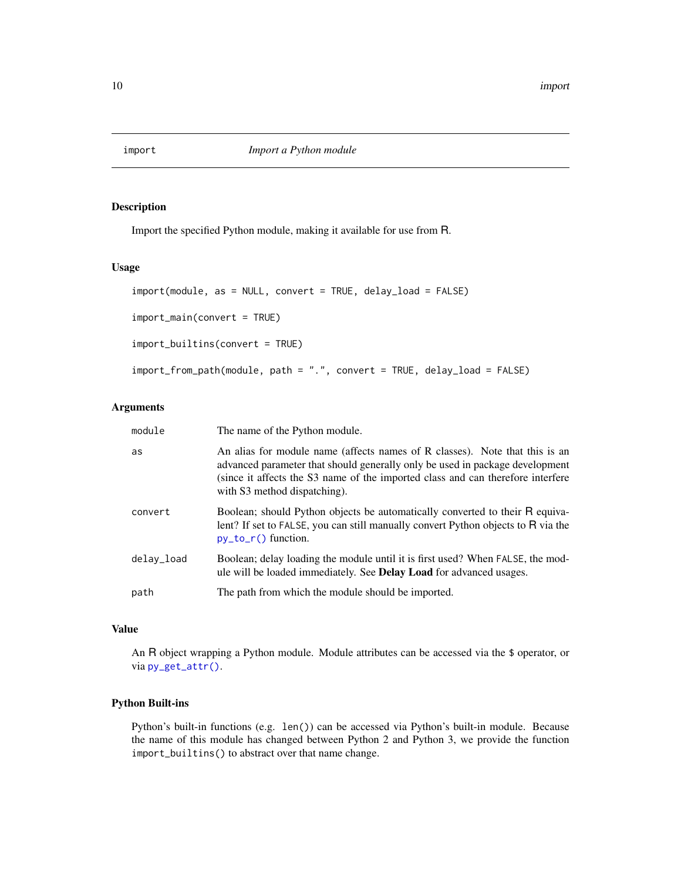<span id="page-9-0"></span>

Import the specified Python module, making it available for use from R.

#### Usage

```
import(module, as = NULL, convert = TRUE, delay_load = FALSE)
import_main(convert = TRUE)
import_builtins(convert = TRUE)
import_from_path(module, path = ".", convert = TRUE, delay_load = FALSE)
```
#### Arguments

| module     | The name of the Python module.                                                                                                                                                                                                                                                 |
|------------|--------------------------------------------------------------------------------------------------------------------------------------------------------------------------------------------------------------------------------------------------------------------------------|
| as         | An alias for module name (affects names of R classes). Note that this is an<br>advanced parameter that should generally only be used in package development<br>(since it affects the S3 name of the imported class and can therefore interfere<br>with S3 method dispatching). |
| convert    | Boolean; should Python objects be automatically converted to their R equiva-<br>lent? If set to FALSE, you can still manually convert Python objects to R via the<br>$py_to_r()$ function.                                                                                     |
| delav_load | Boolean; delay loading the module until it is first used? When FALSE, the mod-<br>ule will be loaded immediately. See <b>Delay Load</b> for advanced usages.                                                                                                                   |
| path       | The path from which the module should be imported.                                                                                                                                                                                                                             |
|            |                                                                                                                                                                                                                                                                                |

#### Value

An R object wrapping a Python module. Module attributes can be accessed via the \$ operator, or via [py\\_get\\_attr\(\)](#page-24-1).

#### Python Built-ins

Python's built-in functions (e.g. len()) can be accessed via Python's built-in module. Because the name of this module has changed between Python 2 and Python 3, we provide the function import\_builtins() to abstract over that name change.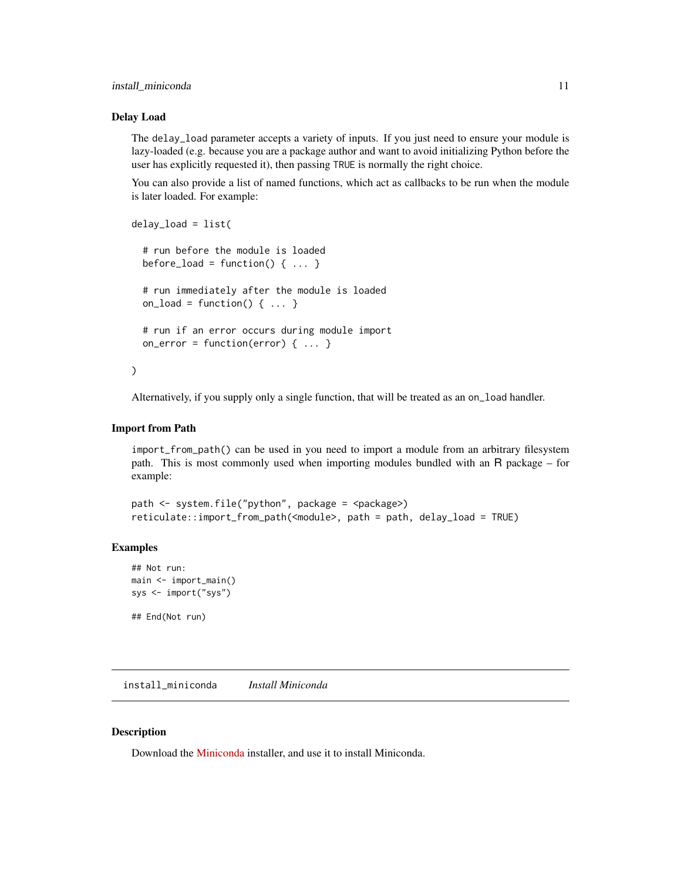#### <span id="page-10-0"></span>install\_miniconda 11

#### Delay Load

The delay\_load parameter accepts a variety of inputs. If you just need to ensure your module is lazy-loaded (e.g. because you are a package author and want to avoid initializing Python before the user has explicitly requested it), then passing TRUE is normally the right choice.

You can also provide a list of named functions, which act as callbacks to be run when the module is later loaded. For example:

```
delay_load = list(
  # run before the module is loaded
 before_load = function() \{ \ldots \}# run immediately after the module is loaded
  on_load = function() \{ \ldots \}# run if an error occurs during module import
  on_error = function(error) \{ \ldots \})
```
Alternatively, if you supply only a single function, that will be treated as an on\_load handler.

#### Import from Path

import\_from\_path() can be used in you need to import a module from an arbitrary filesystem path. This is most commonly used when importing modules bundled with an R package – for example:

```
path <- system.file("python", package = <package>)
reticulate::import_from_path(<module>, path = path, delay_load = TRUE)
```
#### Examples

```
## Not run:
main <- import_main()
sys <- import("sys")
```
## End(Not run)

<span id="page-10-1"></span>install\_miniconda *Install Miniconda*

#### Description

Download the [Miniconda](https://docs.conda.io/en/latest/miniconda.html) installer, and use it to install Miniconda.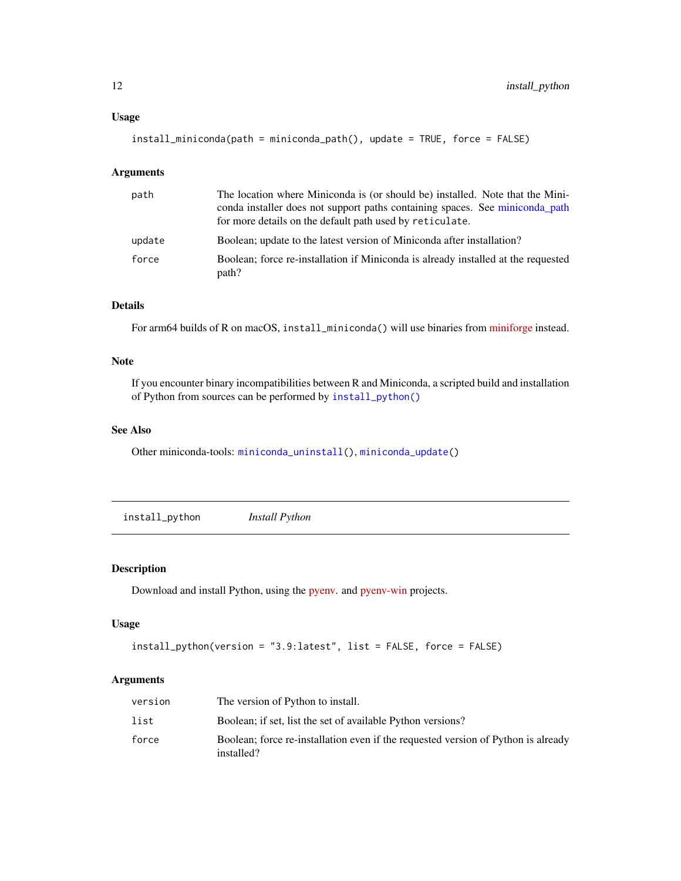#### <span id="page-11-0"></span>Usage

install\_miniconda(path = miniconda\_path(), update = TRUE, force = FALSE)

#### Arguments

| path   | The location where Miniconda is (or should be) installed. Note that the Mini-<br>conda installer does not support paths containing spaces. See miniconda_path<br>for more details on the default path used by reticulate. |
|--------|---------------------------------------------------------------------------------------------------------------------------------------------------------------------------------------------------------------------------|
| update | Boolean; update to the latest version of Miniconda after installation?                                                                                                                                                    |
| force  | Boolean; force re-installation if Miniconda is already installed at the requested<br>path?                                                                                                                                |

#### Details

For arm64 builds of R on macOS, install\_miniconda() will use binaries from [miniforge](https://github.com/conda-forge/miniforge) instead.

#### Note

If you encounter binary incompatibilities between R and Miniconda, a scripted build and installation of Python from sources can be performed by [install\\_python\(\)](#page-11-1)

#### See Also

Other miniconda-tools: [miniconda\\_uninstall\(](#page-13-2)), [miniconda\\_update\(](#page-14-1))

<span id="page-11-1"></span>install\_python *Install Python*

### Description

Download and install Python, using the [pyenv.](https://github.com/pyenv/pyenv) and [pyenv-win](https://github.com/pyenv-win/pyenv-win) projects.

#### Usage

```
install_python(version = "3.9:latest", list = FALSE, force = FALSE)
```

| version | The version of Python to install.                                                               |
|---------|-------------------------------------------------------------------------------------------------|
| list    | Boolean; if set, list the set of available Python versions?                                     |
| force   | Boolean; force re-installation even if the requested version of Python is already<br>installed? |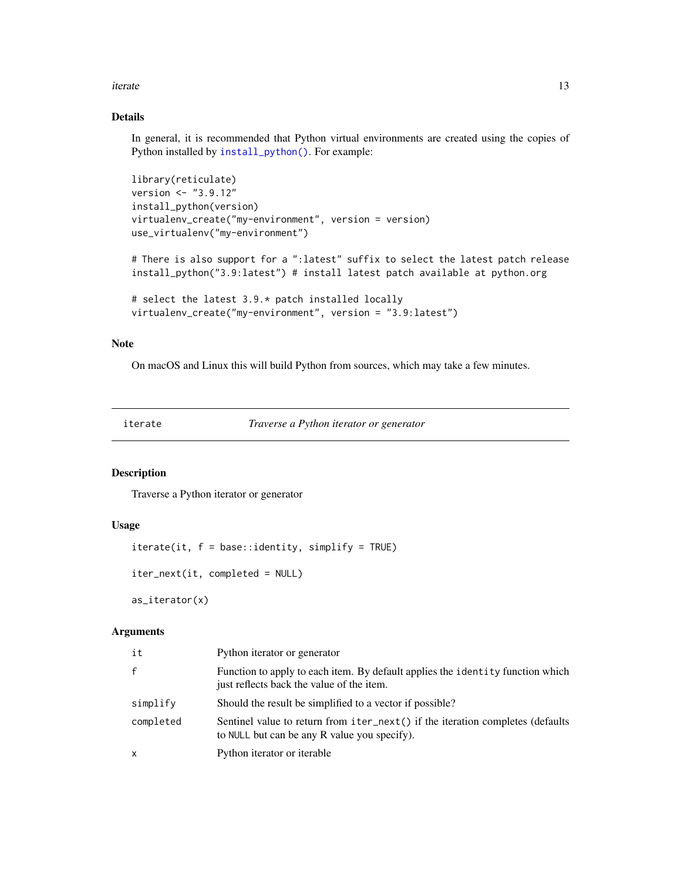#### <span id="page-12-0"></span>iterate the contract of the contract of the contract of the contract of the contract of the contract of the contract of the contract of the contract of the contract of the contract of the contract of the contract of the co

#### Details

In general, it is recommended that Python virtual environments are created using the copies of Python installed by [install\\_python\(\)](#page-11-1). For example:

```
library(reticulate)
version <- "3.9.12"
install_python(version)
virtualenv_create("my-environment", version = version)
use_virtualenv("my-environment")
```
# There is also support for a ":latest" suffix to select the latest patch release install\_python("3.9:latest") # install latest patch available at python.org

```
# select the latest 3.9.* patch installed locally
virtualenv_create("my-environment", version = "3.9:latest")
```
#### Note

On macOS and Linux this will build Python from sources, which may take a few minutes.

| erat |  |
|------|--|
|      |  |

Traverse a Python iterator or generator

#### Description

Traverse a Python iterator or generator

#### Usage

 $iterate(it, f = base::identity, simplify = TRUE)$ 

```
iter_next(it, completed = NULL)
```
as\_iterator(x)

| it           | Python iterator or generator                                                                                                   |
|--------------|--------------------------------------------------------------------------------------------------------------------------------|
| $\mathsf{f}$ | Function to apply to each item. By default applies the identity function which<br>just reflects back the value of the item.    |
| simplify     | Should the result be simplified to a vector if possible?                                                                       |
| completed    | Sentinel value to return from iter_next() if the iteration completes (defaults<br>to NULL but can be any R value you specify). |
| X            | Python iterator or iterable                                                                                                    |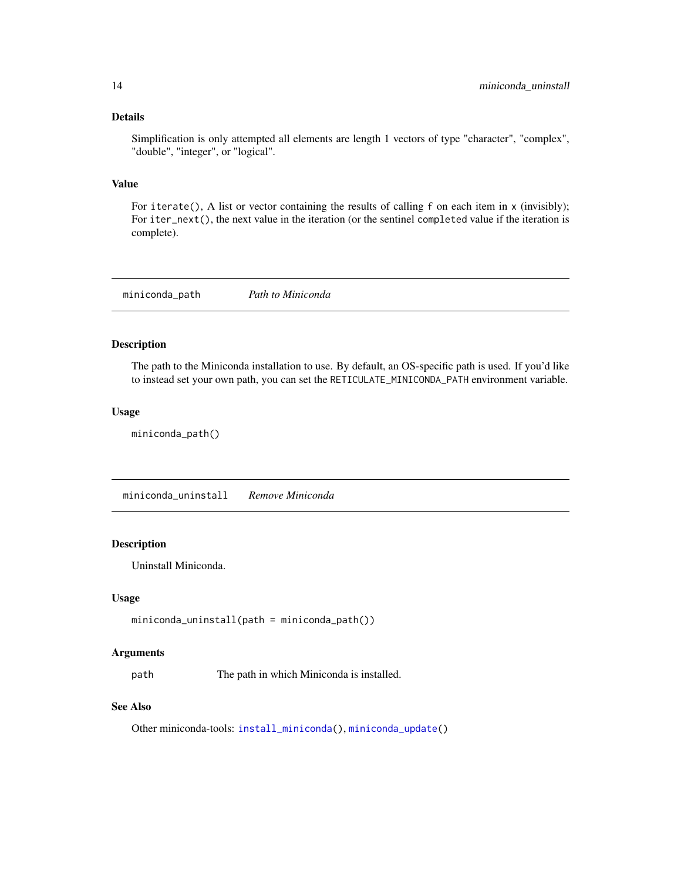#### <span id="page-13-0"></span>Details

Simplification is only attempted all elements are length 1 vectors of type "character", "complex", "double", "integer", or "logical".

#### Value

For iterate(), A list or vector containing the results of calling f on each item in x (invisibly); For iter\_next(), the next value in the iteration (or the sentinel completed value if the iteration is complete).

<span id="page-13-1"></span>miniconda\_path *Path to Miniconda*

#### Description

The path to the Miniconda installation to use. By default, an OS-specific path is used. If you'd like to instead set your own path, you can set the RETICULATE\_MINICONDA\_PATH environment variable.

#### Usage

```
miniconda_path()
```
<span id="page-13-2"></span>miniconda\_uninstall *Remove Miniconda*

#### Description

Uninstall Miniconda.

#### Usage

```
miniconda_uninstall(path = miniconda_path())
```
#### Arguments

path The path in which Miniconda is installed.

#### See Also

Other miniconda-tools: [install\\_miniconda\(](#page-10-1)), [miniconda\\_update\(](#page-14-1))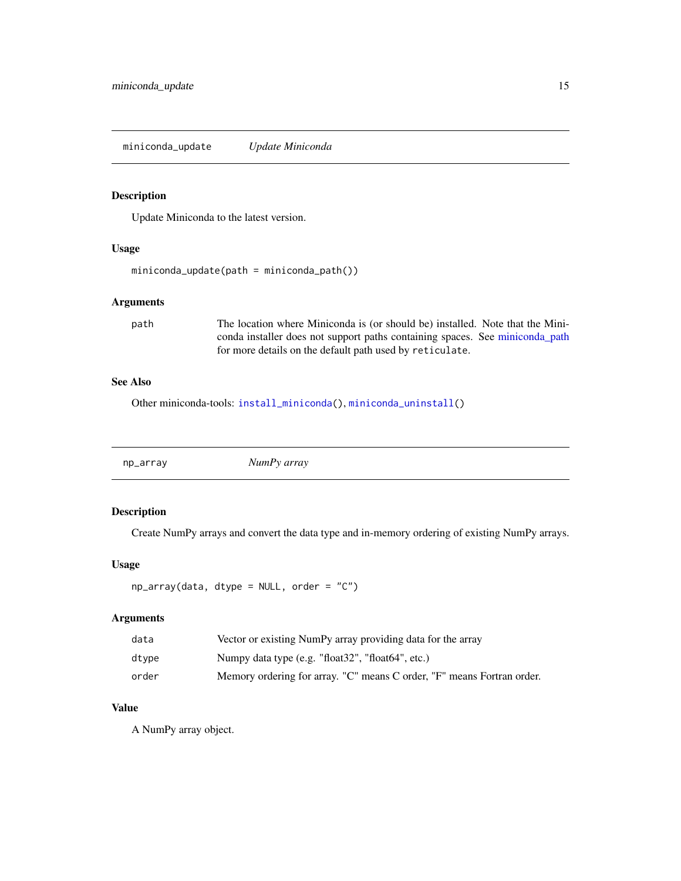<span id="page-14-1"></span><span id="page-14-0"></span>miniconda\_update *Update Miniconda*

#### Description

Update Miniconda to the latest version.

#### Usage

```
miniconda_update(path = miniconda_path())
```
#### Arguments

path The location where Miniconda is (or should be) installed. Note that the Miniconda installer does not support paths containing spaces. See [miniconda\\_path](#page-13-1) for more details on the default path used by reticulate.

#### See Also

Other miniconda-tools: [install\\_miniconda\(](#page-10-1)), [miniconda\\_uninstall\(](#page-13-2))

np\_array *NumPy array*

#### Description

Create NumPy arrays and convert the data type and in-memory ordering of existing NumPy arrays.

#### Usage

```
np_array(data, dtype = NULL, order = "C")
```
#### Arguments

| data  | Vector or existing NumPy array providing data for the array            |
|-------|------------------------------------------------------------------------|
| dtvpe | Numpy data type (e.g. "float32", "float64", etc.)                      |
| order | Memory ordering for array. "C" means C order, "F" means Fortran order. |

#### Value

A NumPy array object.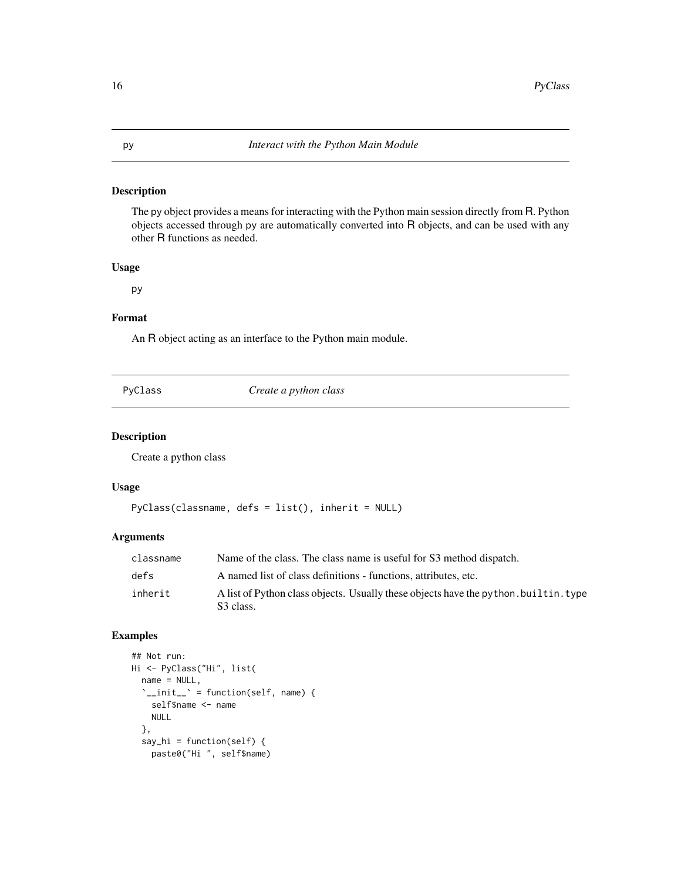<span id="page-15-1"></span><span id="page-15-0"></span>The py object provides a means for interacting with the Python main session directly from R. Python objects accessed through py are automatically converted into R objects, and can be used with any other R functions as needed.

#### Usage

py

#### Format

An R object acting as an interface to the Python main module.

| vCLas:<br>` |
|-------------|
|-------------|

Create a python class

#### Description

Create a python class

#### Usage

```
PyClass(classname, defs = list(), inherit = NULL)
```
#### Arguments

| classname | Name of the class. The class name is useful for S3 method dispatch.                               |
|-----------|---------------------------------------------------------------------------------------------------|
| defs      | A named list of class definitions - functions, attributes, etc.                                   |
| inherit   | A list of Python class objects. Usually these objects have the python, builtin, type<br>S3 class. |

#### Examples

```
## Not run:
Hi <- PyClass("Hi", list(
  name = NULL,
  \sum_{i=1}^{n} init__\sum_{i=1}^{n} = function(self, name) {
    self$name <- name
    NULL
  },
  say_hi = function(self) {
    paste0("Hi ", self$name)
```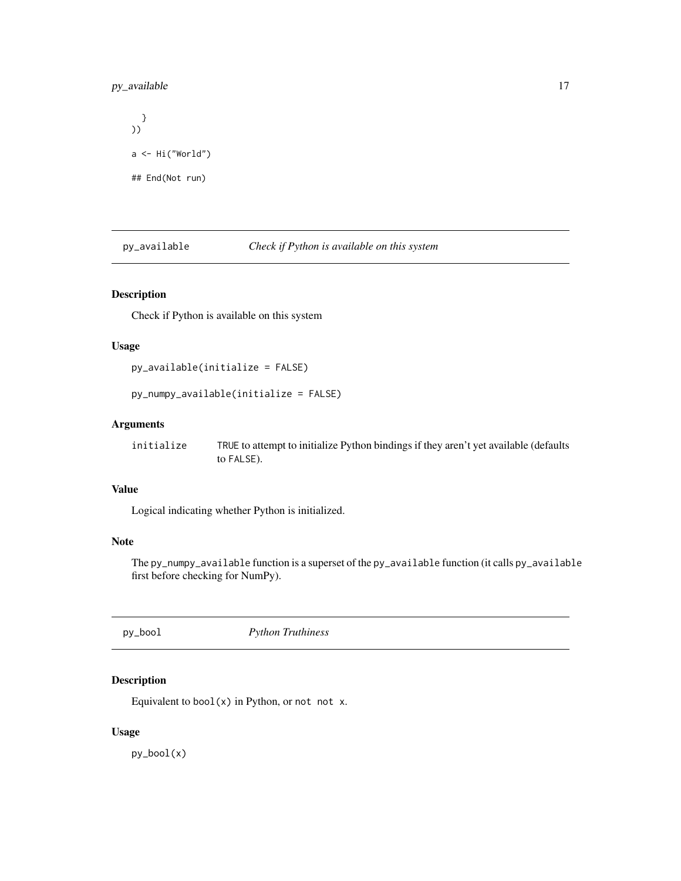#### <span id="page-16-0"></span>py\_available 17

```
}
))
a \leftarrow Hi("World")## End(Not run)
```
py\_available *Check if Python is available on this system*

#### Description

Check if Python is available on this system

#### Usage

```
py_available(initialize = FALSE)
```
py\_numpy\_available(initialize = FALSE)

#### Arguments

| initialize | TRUE to attempt to initialize Python bindings if they aren't yet available (defaults |
|------------|--------------------------------------------------------------------------------------|
|            | to FALSE).                                                                           |

#### Value

Logical indicating whether Python is initialized.

#### Note

The py\_numpy\_available function is a superset of the py\_available function (it calls py\_available first before checking for NumPy).

py\_bool *Python Truthiness*

#### Description

Equivalent to bool $(x)$  in Python, or not not x.

#### Usage

py\_bool(x)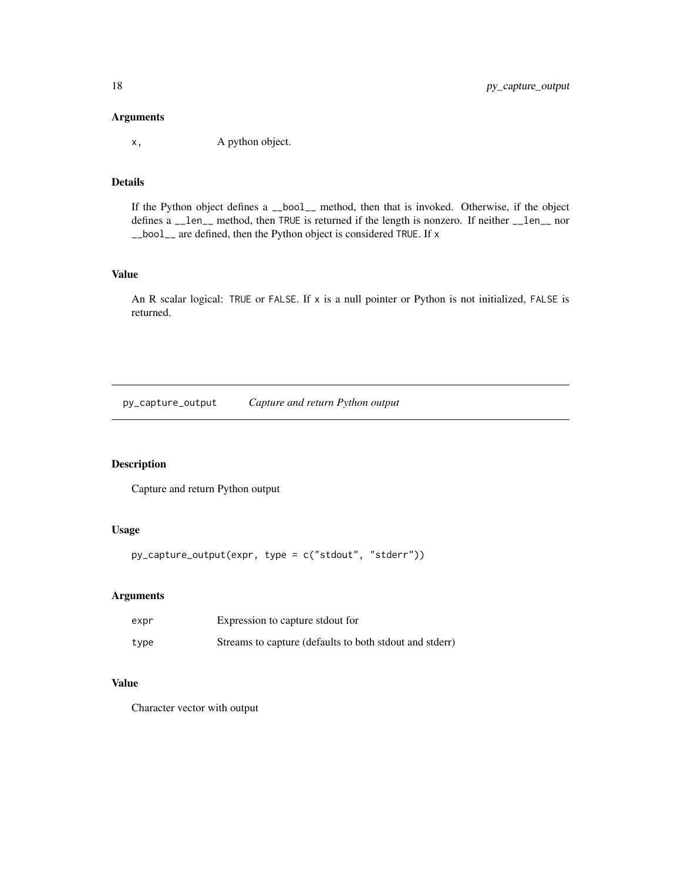#### <span id="page-17-0"></span>Arguments

x, A python object.

#### Details

If the Python object defines a \_\_bool\_\_ method, then that is invoked. Otherwise, if the object defines a \_\_len\_\_ method, then TRUE is returned if the length is nonzero. If neither \_\_len\_\_ nor \_\_bool\_\_ are defined, then the Python object is considered TRUE. If x

#### Value

An R scalar logical: TRUE or FALSE. If x is a null pointer or Python is not initialized, FALSE is returned.

py\_capture\_output *Capture and return Python output*

#### Description

Capture and return Python output

#### Usage

py\_capture\_output(expr, type = c("stdout", "stderr"))

#### Arguments

| expr | Expression to capture stdout for                        |
|------|---------------------------------------------------------|
| type | Streams to capture (defaults to both stdout and stderr) |

#### Value

Character vector with output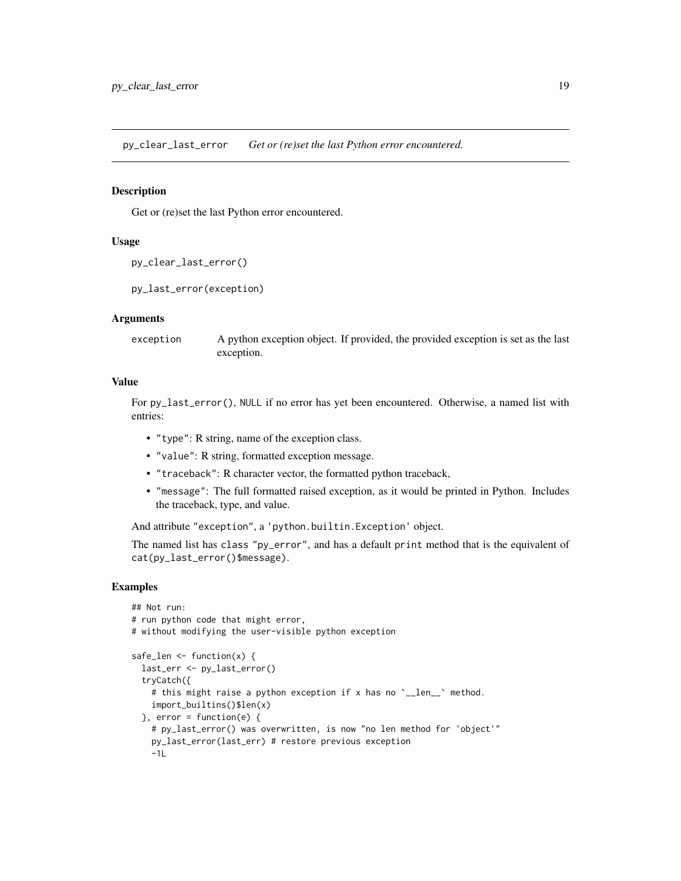<span id="page-18-0"></span>py\_clear\_last\_error *Get or (re)set the last Python error encountered.*

#### Description

Get or (re)set the last Python error encountered.

#### Usage

```
py_clear_last_error()
```

```
py_last_error(exception)
```
#### Arguments

exception A python exception object. If provided, the provided exception is set as the last exception.

#### Value

For py\_last\_error(), NULL if no error has yet been encountered. Otherwise, a named list with entries:

- "type": R string, name of the exception class.
- "value": R string, formatted exception message.
- "traceback": R character vector, the formatted python traceback,
- "message": The full formatted raised exception, as it would be printed in Python. Includes the traceback, type, and value.

And attribute "exception", a 'python.builtin.Exception' object.

The named list has class "py\_error", and has a default print method that is the equivalent of cat(py\_last\_error()\$message).

#### Examples

```
## Not run:
# run python code that might error,
# without modifying the user-visible python exception
safe_len <- function(x) {
 last_err <- py_last_error()
 tryCatch({
   # this might raise a python exception if x has no '__len__' method.
   import_builtins()$len(x)
 \}, error = function(e) {
   # py_last_error() was overwritten, is now "no len method for 'object'"
   py_last_error(last_err) # restore previous exception
    -1L
```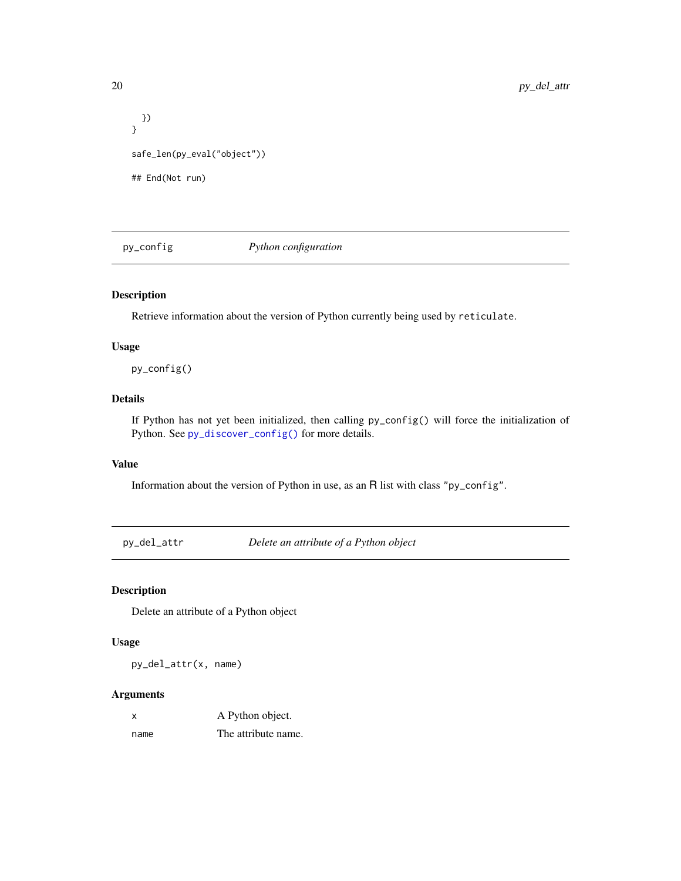```
})
}
safe_len(py_eval("object"))
## End(Not run)
```
<span id="page-19-1"></span>py\_config *Python configuration*

#### Description

Retrieve information about the version of Python currently being used by reticulate.

#### Usage

py\_config()

#### Details

If Python has not yet been initialized, then calling py\_config() will force the initialization of Python. See [py\\_discover\\_config\(\)](#page-20-1) for more details.

#### Value

Information about the version of Python in use, as an R list with class "py\_config".

py\_del\_attr *Delete an attribute of a Python object*

#### Description

Delete an attribute of a Python object

### Usage

py\_del\_attr(x, name)

| x    | A Python object.    |
|------|---------------------|
| name | The attribute name. |

<span id="page-19-0"></span>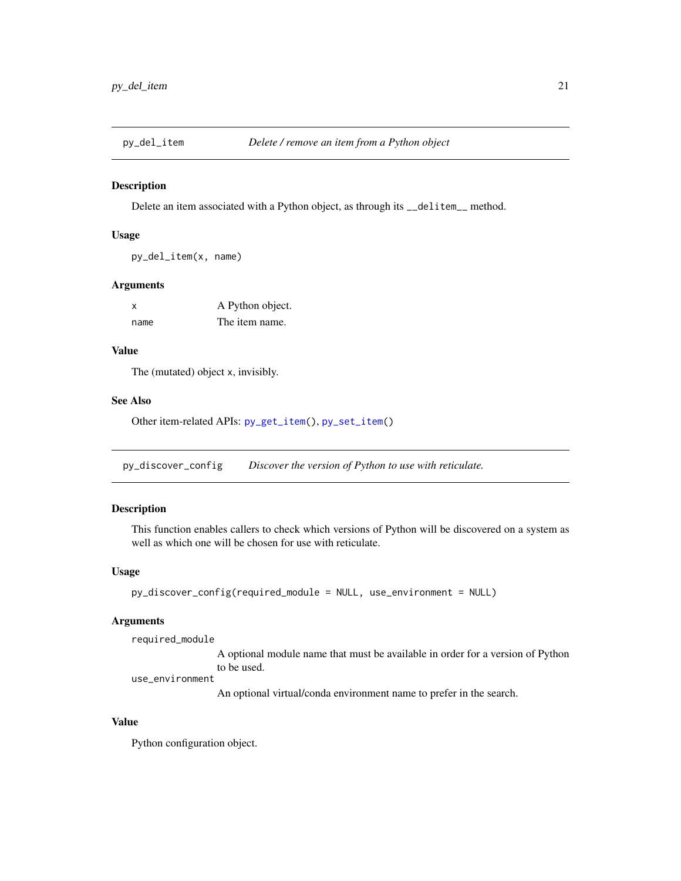<span id="page-20-2"></span><span id="page-20-0"></span>

Delete an item associated with a Python object, as through its \_\_delitem\_\_ method.

#### Usage

```
py_del_item(x, name)
```
#### Arguments

| $\boldsymbol{\mathsf{x}}$ | A Python object. |
|---------------------------|------------------|
| name                      | The item name.   |

#### Value

The (mutated) object x, invisibly.

#### See Also

Other item-related APIs: [py\\_get\\_item\(](#page-25-1)), [py\\_set\\_item\(](#page-36-1))

<span id="page-20-1"></span>py\_discover\_config *Discover the version of Python to use with reticulate.*

#### Description

This function enables callers to check which versions of Python will be discovered on a system as well as which one will be chosen for use with reticulate.

#### Usage

```
py_discover_config(required_module = NULL, use_environment = NULL)
```
#### Arguments

required\_module

A optional module name that must be available in order for a version of Python to be used.

use\_environment

An optional virtual/conda environment name to prefer in the search.

#### Value

Python configuration object.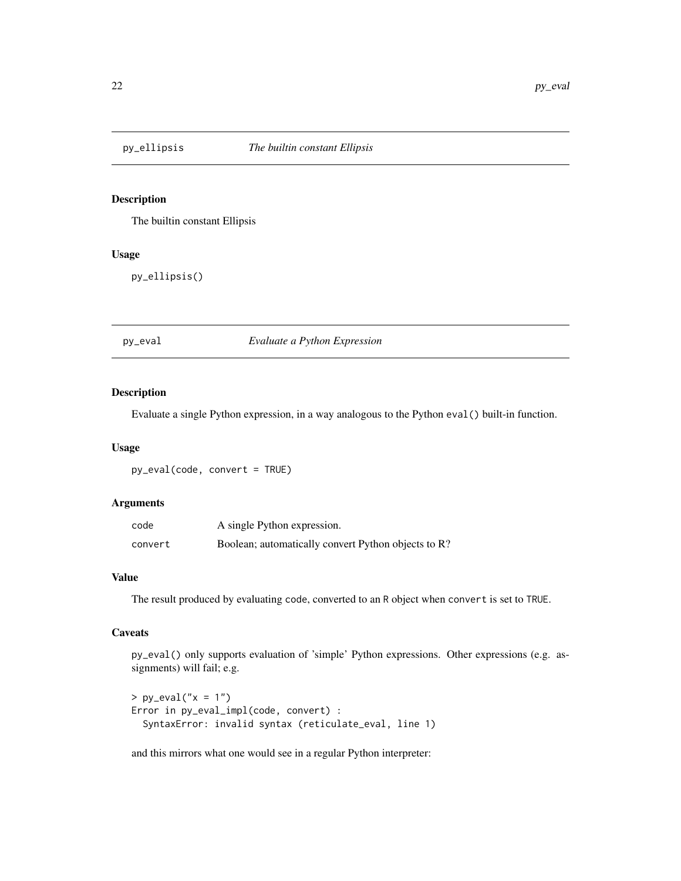<span id="page-21-0"></span>

The builtin constant Ellipsis

#### Usage

py\_ellipsis()

py\_eval *Evaluate a Python Expression*

#### Description

Evaluate a single Python expression, in a way analogous to the Python eval() built-in function.

#### Usage

py\_eval(code, convert = TRUE)

#### Arguments

| code    | A single Python expression.                         |
|---------|-----------------------------------------------------|
| convert | Boolean; automatically convert Python objects to R? |

#### Value

The result produced by evaluating code, converted to an R object when convert is set to TRUE.

#### **Caveats**

py\_eval() only supports evaluation of 'simple' Python expressions. Other expressions (e.g. assignments) will fail; e.g.

```
> py_{eval("x = 1")}Error in py_eval_impl(code, convert) :
  SyntaxError: invalid syntax (reticulate_eval, line 1)
```
and this mirrors what one would see in a regular Python interpreter: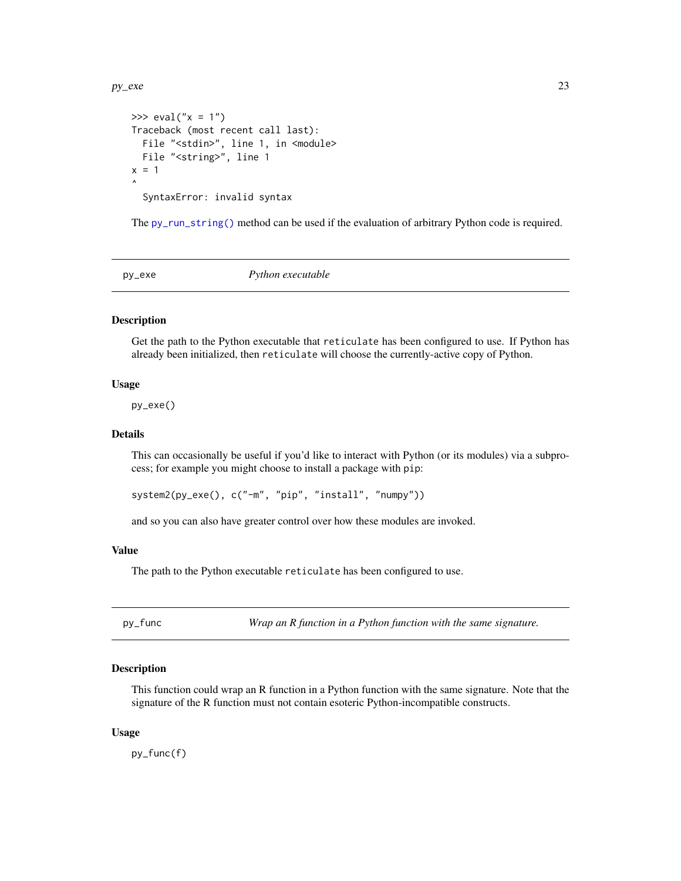#### <span id="page-22-0"></span>py\_exe 23

```
>>> eval("x = 1")
Traceback (most recent call last):
  File "<stdin>", line 1, in <module>
 File "<string>", line 1
x = 1\lambdaSyntaxError: invalid syntax
```
The [py\\_run\\_string\(\)](#page-35-1) method can be used if the evaluation of arbitrary Python code is required.

<span id="page-22-1"></span>

py\_exe *Python executable*

#### Description

Get the path to the Python executable that reticulate has been configured to use. If Python has already been initialized, then reticulate will choose the currently-active copy of Python.

#### Usage

py\_exe()

#### Details

This can occasionally be useful if you'd like to interact with Python (or its modules) via a subprocess; for example you might choose to install a package with pip:

system2(py\_exe(), c("-m", "pip", "install", "numpy"))

and so you can also have greater control over how these modules are invoked.

#### Value

The path to the Python executable reticulate has been configured to use.

py\_func *Wrap an R function in a Python function with the same signature.*

#### **Description**

This function could wrap an R function in a Python function with the same signature. Note that the signature of the R function must not contain esoteric Python-incompatible constructs.

#### Usage

py\_func(f)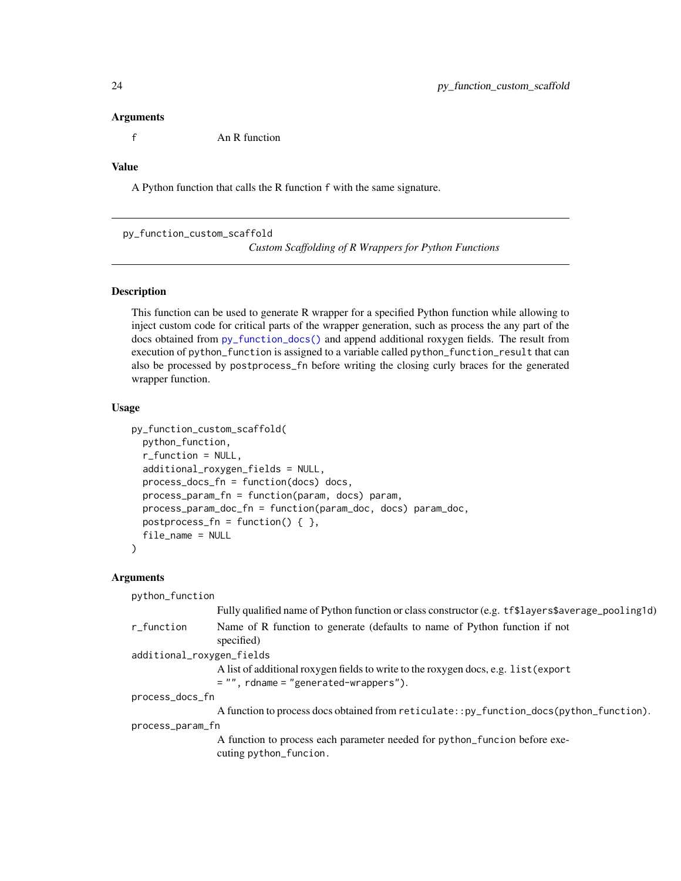#### <span id="page-23-0"></span>Arguments

f An R function

### Value

A Python function that calls the R function f with the same signature.

py\_function\_custom\_scaffold

*Custom Scaffolding of R Wrappers for Python Functions*

#### Description

This function can be used to generate R wrapper for a specified Python function while allowing to inject custom code for critical parts of the wrapper generation, such as process the any part of the docs obtained from [py\\_function\\_docs\(\)](#page-0-0) and append additional roxygen fields. The result from execution of python\_function is assigned to a variable called python\_function\_result that can also be processed by postprocess\_fn before writing the closing curly braces for the generated wrapper function.

#### Usage

```
py_function_custom_scaffold(
  python_function,
  r_function = NULL,
  additional_roxygen_fields = NULL,
  process_docs_fn = function(docs) docs,
  process_param_fn = function(param, docs) param,
  process_param_doc_fn = function(param_doc, docs) param_doc,
  postprocess_fn = function() { \},
  file_name = NULL
)
```

| python_function           |                                                                                                                                |  |
|---------------------------|--------------------------------------------------------------------------------------------------------------------------------|--|
|                           | Fully qualified name of Python function or class constructor (e.g. tf\$layers\$average_pooling1d)                              |  |
| r_function                | Name of R function to generate (defaults to name of Python function if not<br>specified)                                       |  |
| additional_roxygen_fields |                                                                                                                                |  |
|                           | A list of additional roxygen fields to write to the roxygen docs, e.g. list (export<br>$=$ "", rdname = "generated-wrappers"). |  |
| process_docs_fn           |                                                                                                                                |  |
|                           | A function to process docs obtained from reticulate::py_function_docs(python_function).                                        |  |
| process_param_fn          |                                                                                                                                |  |
|                           | A function to process each parameter needed for python_function before exe-<br>cuting python_funcion.                          |  |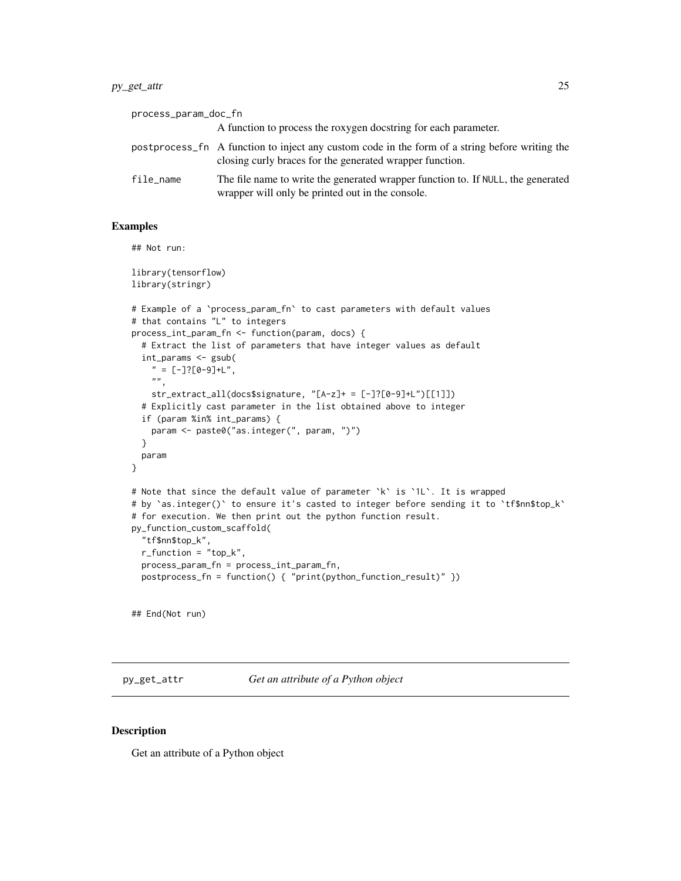#### <span id="page-24-0"></span>py\_get\_attr 25

| process_param_doc_fn |                                                                                                                                                            |
|----------------------|------------------------------------------------------------------------------------------------------------------------------------------------------------|
|                      | A function to process the roxygen doestring for each parameter.                                                                                            |
|                      | postprocess_fn A function to inject any custom code in the form of a string before writing the<br>closing curly braces for the generated wrapper function. |
| file_name            | The file name to write the generated wrapper function to. If NULL, the generated<br>wrapper will only be printed out in the console.                       |

#### Examples

## Not run:

```
library(tensorflow)
library(stringr)
# Example of a `process_param_fn` to cast parameters with default values
# that contains "L" to integers
process_int_param_fn <- function(param, docs) {
  # Extract the list of parameters that have integer values as default
  int_params <- gsub(
    " = [-]?[0-9]+L",
    ",
   str_extract_all(docs$signature, "[A-z]+ = [-]?[0-9]+L")[[1]])
  # Explicitly cast parameter in the list obtained above to integer
  if (param %in% int_params) {
   param <- paste0("as.integer(", param, ")")
  }
  param
}
# Note that since the default value of parameter `k` is `1L`. It is wrapped
# by `as.integer()` to ensure it's casted to integer before sending it to `tf$nn$top_k`
# for execution. We then print out the python function result.
py_function_custom_scaffold(
  "tf$nn$top_k",
  r_function = "top_k",
  process_param_fn = process_int_param_fn,
  postprocess_fn = function() { "print(python_function_result)" })
```
## End(Not run)

<span id="page-24-1"></span>py\_get\_attr *Get an attribute of a Python object*

#### Description

Get an attribute of a Python object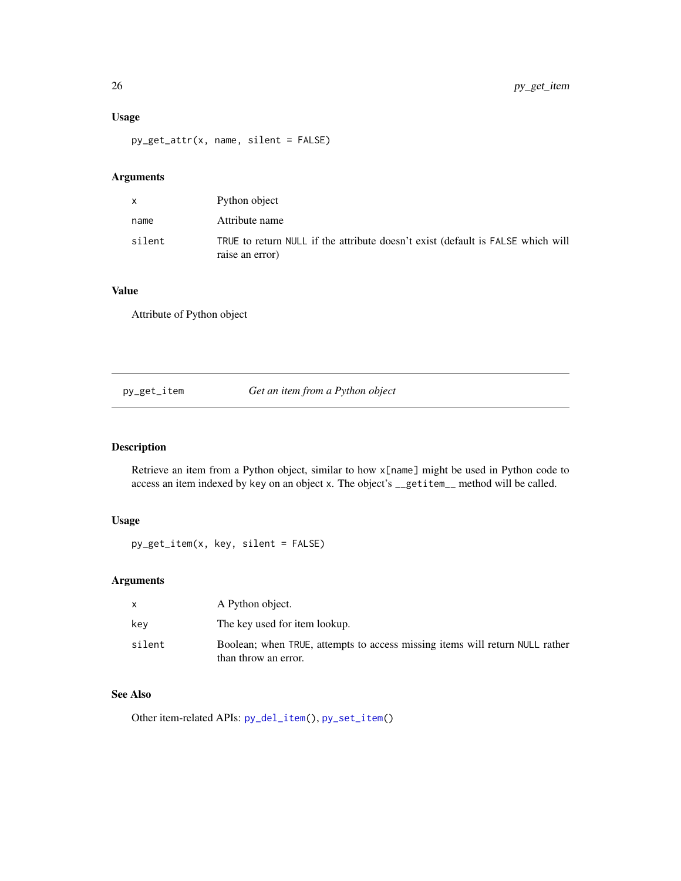#### <span id="page-25-0"></span>Usage

py\_get\_attr(x, name, silent = FALSE)

#### Arguments

|        | Python object                                                                                      |
|--------|----------------------------------------------------------------------------------------------------|
| name   | Attribute name                                                                                     |
| silent | TRUE to return NULL if the attribute doesn't exist (default is FALSE which will<br>raise an error) |

#### Value

Attribute of Python object

<span id="page-25-1"></span>

py\_get\_item *Get an item from a Python object*

### Description

Retrieve an item from a Python object, similar to how x[name] might be used in Python code to access an item indexed by key on an object x. The object's \_\_getitem\_\_ method will be called.

#### Usage

py\_get\_item(x, key, silent = FALSE)

#### Arguments

|        | A Python object.                                                                                     |
|--------|------------------------------------------------------------------------------------------------------|
| kev    | The key used for item lookup.                                                                        |
| silent | Boolean; when TRUE, attempts to access missing items will return NULL rather<br>than throw an error. |

#### See Also

Other item-related APIs: [py\\_del\\_item\(](#page-20-2)), [py\\_set\\_item\(](#page-36-1))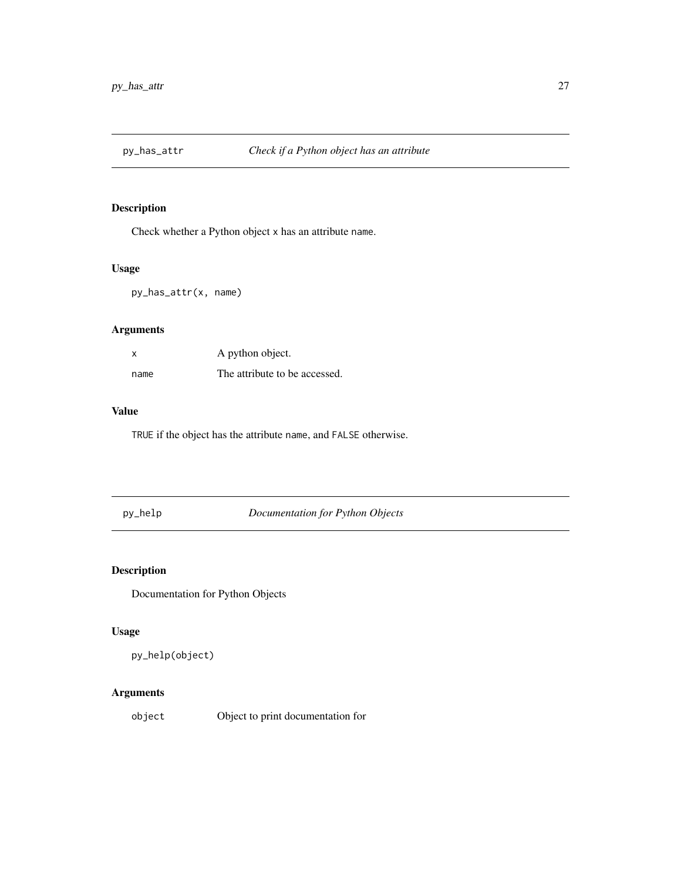<span id="page-26-0"></span>

Check whether a Python object x has an attribute name.

### Usage

py\_has\_attr(x, name)

### Arguments

| x    | A python object.              |
|------|-------------------------------|
| name | The attribute to be accessed. |

#### Value

TRUE if the object has the attribute name, and FALSE otherwise.

py\_help *Documentation for Python Objects*

### Description

Documentation for Python Objects

#### Usage

py\_help(object)

#### Arguments

object Object to print documentation for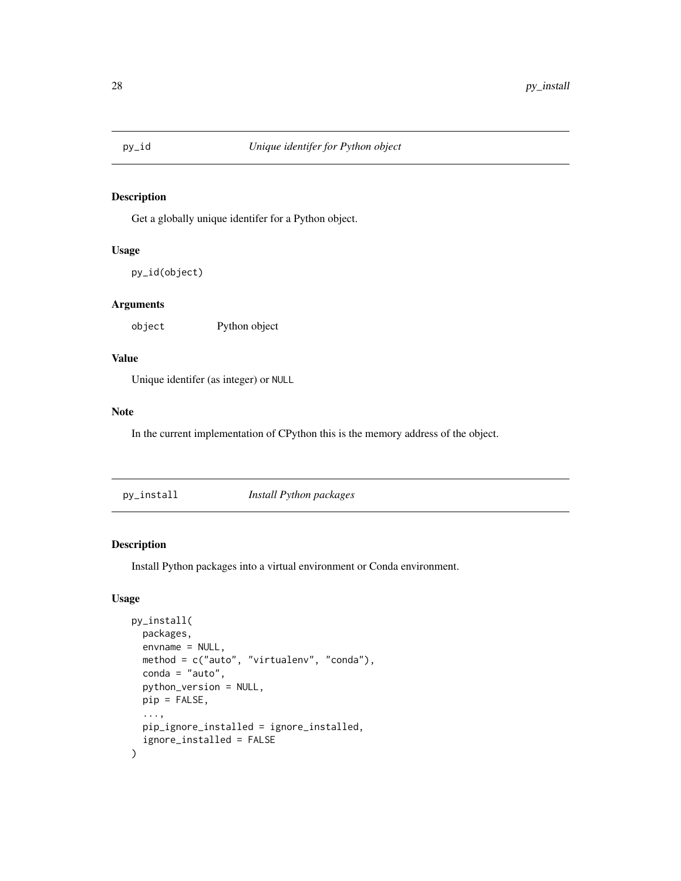<span id="page-27-0"></span>

Get a globally unique identifer for a Python object.

#### Usage

py\_id(object)

#### Arguments

object Python object

#### Value

Unique identifer (as integer) or NULL

#### Note

In the current implementation of CPython this is the memory address of the object.

py\_install *Install Python packages*

### Description

Install Python packages into a virtual environment or Conda environment.

#### Usage

```
py_install(
  packages,
  envname = NULL,
 method = c("auto", "virtualenv", "conda"),
  conda = "auto",
  python_version = NULL,
 pip = FALSE,
  ...,
 pip_ignore_installed = ignore_installed,
  ignore_installed = FALSE
\mathcal{E}
```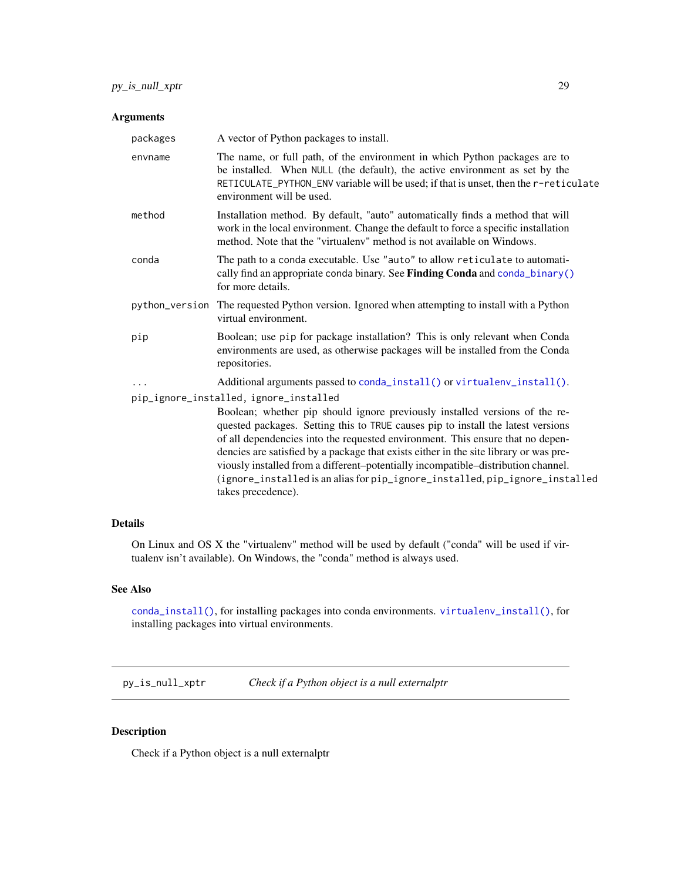#### <span id="page-28-0"></span>Arguments

| packages | A vector of Python packages to install.                                                                                                                                                                                                                                                                                                                                                                                                                                                                                               |
|----------|---------------------------------------------------------------------------------------------------------------------------------------------------------------------------------------------------------------------------------------------------------------------------------------------------------------------------------------------------------------------------------------------------------------------------------------------------------------------------------------------------------------------------------------|
| envname  | The name, or full path, of the environment in which Python packages are to<br>be installed. When NULL (the default), the active environment as set by the<br>RETICULATE_PYTHON_ENV variable will be used; if that is unset, then the r-reticulate<br>environment will be used.                                                                                                                                                                                                                                                        |
| method   | Installation method. By default, "auto" automatically finds a method that will<br>work in the local environment. Change the default to force a specific installation<br>method. Note that the "virtualeny" method is not available on Windows.                                                                                                                                                                                                                                                                                        |
| conda    | The path to a conda executable. Use "auto" to allow reticulate to automati-<br>cally find an appropriate conda binary. See Finding Conda and conda_binary()<br>for more details.                                                                                                                                                                                                                                                                                                                                                      |
|          | python_version The requested Python version. Ignored when attempting to install with a Python<br>virtual environment.                                                                                                                                                                                                                                                                                                                                                                                                                 |
| pip      | Boolean; use pip for package installation? This is only relevant when Conda<br>environments are used, as otherwise packages will be installed from the Conda<br>repositories.                                                                                                                                                                                                                                                                                                                                                         |
| .        | Additional arguments passed to conda_install() or virtualenv_install().                                                                                                                                                                                                                                                                                                                                                                                                                                                               |
|          | pip_ignore_installed, ignore_installed                                                                                                                                                                                                                                                                                                                                                                                                                                                                                                |
|          | Boolean; whether pip should ignore previously installed versions of the re-<br>quested packages. Setting this to TRUE causes pip to install the latest versions<br>of all dependencies into the requested environment. This ensure that no depen-<br>dencies are satisfied by a package that exists either in the site library or was pre-<br>viously installed from a different-potentially incompatible-distribution channel.<br>(ignore_installed is an alias for pip_ignore_installed, pip_ignore_installed<br>takes precedence). |
|          |                                                                                                                                                                                                                                                                                                                                                                                                                                                                                                                                       |

#### Details

On Linux and OS X the "virtualenv" method will be used by default ("conda" will be used if virtualenv isn't available). On Windows, the "conda" method is always used.

#### See Also

[conda\\_install\(\)](#page-4-1), for installing packages into conda environments. [virtualenv\\_install\(\)](#page-44-1), for installing packages into virtual environments.

py\_is\_null\_xptr *Check if a Python object is a null externalptr*

#### Description

Check if a Python object is a null externalptr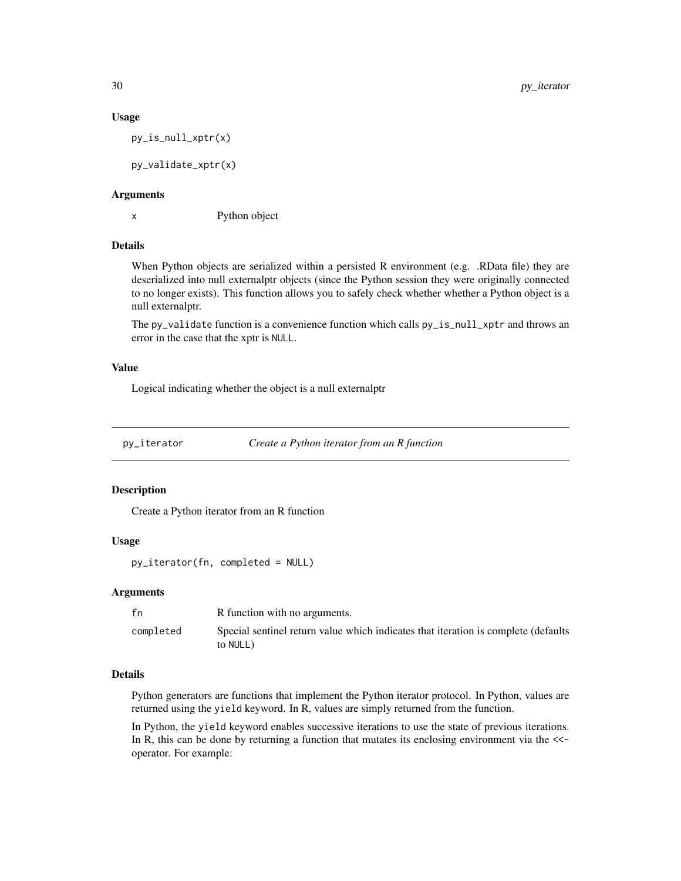#### Usage

py\_is\_null\_xptr(x)

py\_validate\_xptr(x)

#### Arguments

x Python object

#### Details

When Python objects are serialized within a persisted R environment (e.g. .RData file) they are deserialized into null externalptr objects (since the Python session they were originally connected to no longer exists). This function allows you to safely check whether whether a Python object is a null externalptr.

The py\_validate function is a convenience function which calls py\_is\_null\_xptr and throws an error in the case that the xptr is NULL.

#### Value

Logical indicating whether the object is a null externalptr

py\_iterator *Create a Python iterator from an R function*

#### Description

Create a Python iterator from an R function

#### Usage

py\_iterator(fn, completed = NULL)

#### Arguments

| fn        | R function with no arguments.                                                                  |
|-----------|------------------------------------------------------------------------------------------------|
| completed | Special sentinel return value which indicates that iteration is complete (defaults<br>to NULL) |

#### Details

Python generators are functions that implement the Python iterator protocol. In Python, values are returned using the yield keyword. In R, values are simply returned from the function.

In Python, the yield keyword enables successive iterations to use the state of previous iterations. In R, this can be done by returning a function that mutates its enclosing environment via the  $\le$ operator. For example:

<span id="page-29-0"></span>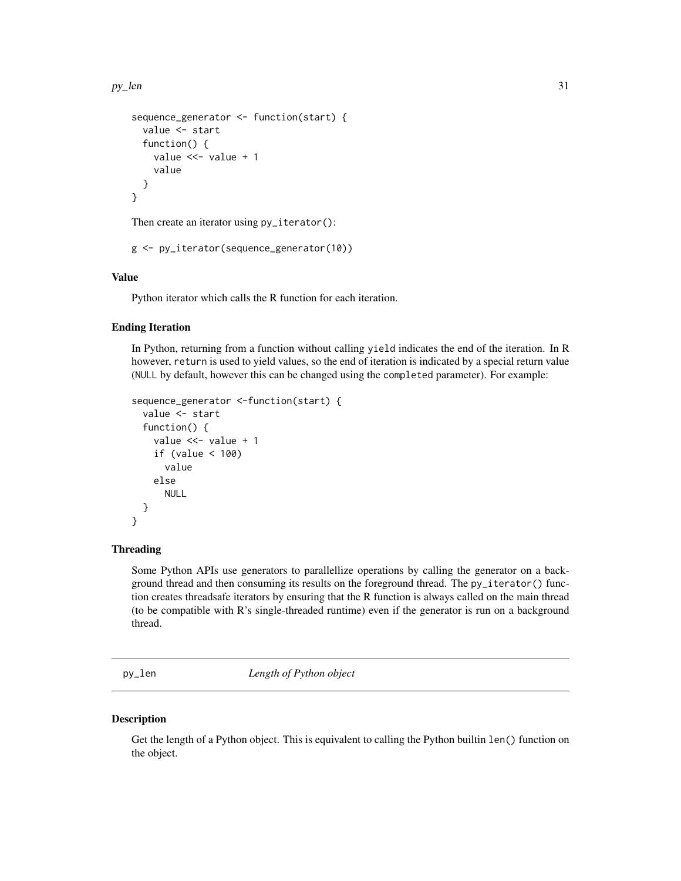<span id="page-30-0"></span>py\_len 31

```
sequence_generator <- function(start) {
  value <- start
  function() {
    value <<- value + 1
    value
  }
}
```
Then create an iterator using py\_iterator():

```
g <- py_iterator(sequence_generator(10))
```
#### Value

Python iterator which calls the R function for each iteration.

#### Ending Iteration

In Python, returning from a function without calling yield indicates the end of the iteration. In R however, return is used to yield values, so the end of iteration is indicated by a special return value (NULL by default, however this can be changed using the completed parameter). For example:

```
sequence_generator <-function(start) {
  value <- start
  function() {
    value <<- value + 1
    if (value < 100)
      value
    else
      NULL
  }
}
```
#### Threading

Some Python APIs use generators to parallellize operations by calling the generator on a background thread and then consuming its results on the foreground thread. The py\_iterator() function creates threadsafe iterators by ensuring that the R function is always called on the main thread (to be compatible with R's single-threaded runtime) even if the generator is run on a background thread.

py\_len *Length of Python object*

#### **Description**

Get the length of a Python object. This is equivalent to calling the Python builtin len() function on the object.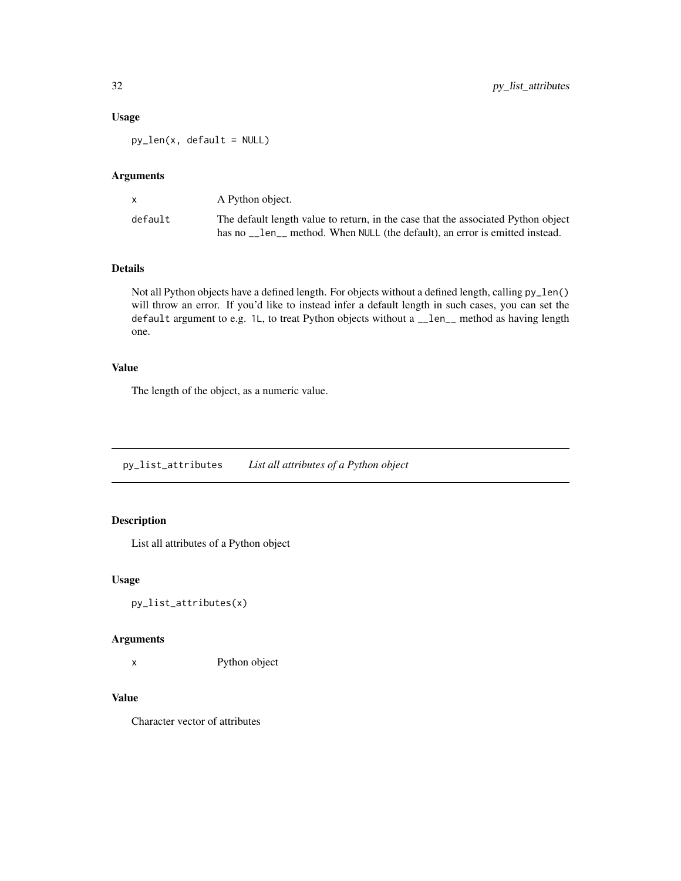#### <span id="page-31-0"></span>Usage

py\_len(x, default = NULL)

#### Arguments

|         | A Python object.                                                                                                                                              |
|---------|---------------------------------------------------------------------------------------------------------------------------------------------------------------|
| default | The default length value to return, in the case that the associated Python object<br>has no len method. When NULL (the default), an error is emitted instead. |

#### Details

Not all Python objects have a defined length. For objects without a defined length, calling py\_len() will throw an error. If you'd like to instead infer a default length in such cases, you can set the default argument to e.g. 1L, to treat Python objects without a \_\_len\_\_ method as having length one.

#### Value

The length of the object, as a numeric value.

py\_list\_attributes *List all attributes of a Python object*

#### Description

List all attributes of a Python object

#### Usage

```
py_list_attributes(x)
```
#### Arguments

x Python object

#### Value

Character vector of attributes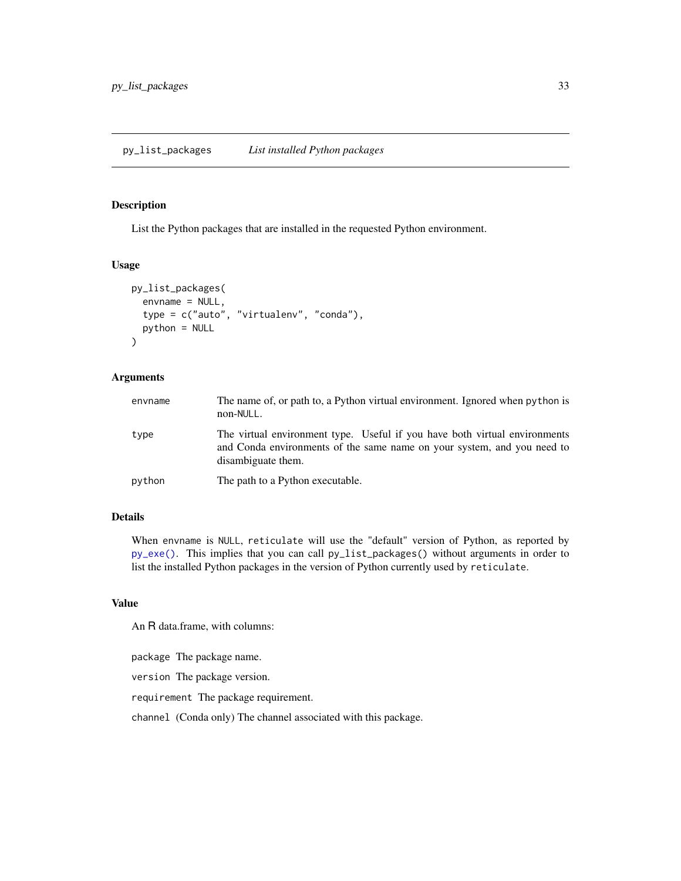<span id="page-32-0"></span>List the Python packages that are installed in the requested Python environment.

#### Usage

```
py_list_packages(
  envname = NULL,
  type = c("auto", "virtualenv", "conda"),
  python = NULL
)
```
#### Arguments

| envname | The name of, or path to, a Python virtual environment. Ignored when python is<br>non-NULL.                                                                                  |
|---------|-----------------------------------------------------------------------------------------------------------------------------------------------------------------------------|
| type    | The virtual environment type. Useful if you have both virtual environments<br>and Conda environments of the same name on your system, and you need to<br>disambiguate them. |
| python  | The path to a Python executable.                                                                                                                                            |

#### Details

When envname is NULL, reticulate will use the "default" version of Python, as reported by [py\\_exe\(\)](#page-22-1). This implies that you can call py\_list\_packages() without arguments in order to list the installed Python packages in the version of Python currently used by reticulate.

#### Value

An R data.frame, with columns:

package The package name.

version The package version.

requirement The package requirement.

channel (Conda only) The channel associated with this package.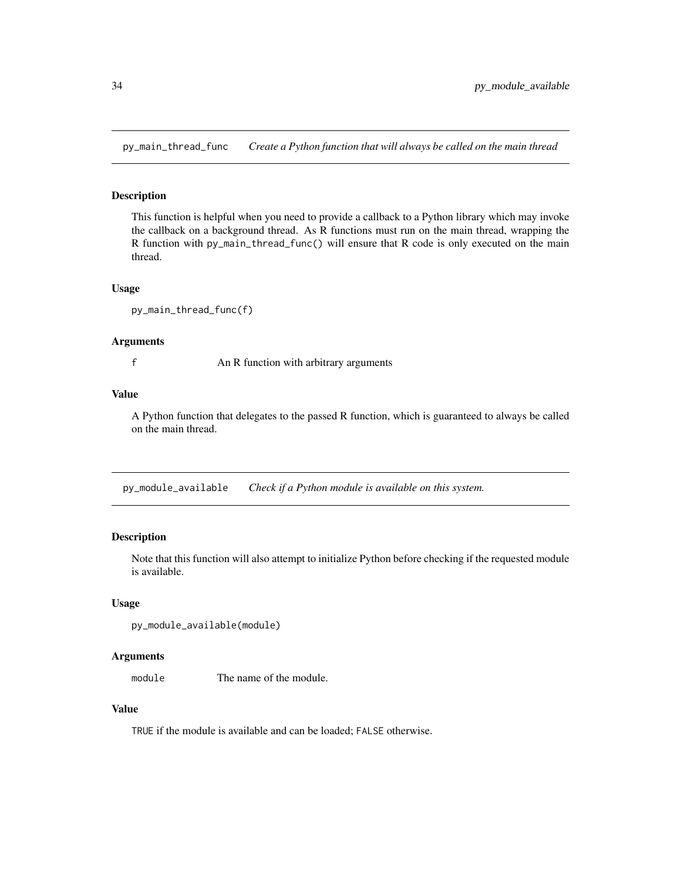<span id="page-33-0"></span>py\_main\_thread\_func *Create a Python function that will always be called on the main thread*

#### Description

This function is helpful when you need to provide a callback to a Python library which may invoke the callback on a background thread. As R functions must run on the main thread, wrapping the R function with py\_main\_thread\_func() will ensure that R code is only executed on the main thread.

#### Usage

```
py_main_thread_func(f)
```
#### **Arguments**

f An R function with arbitrary arguments

#### Value

A Python function that delegates to the passed R function, which is guaranteed to always be called on the main thread.

py\_module\_available *Check if a Python module is available on this system.*

#### Description

Note that this function will also attempt to initialize Python before checking if the requested module is available.

#### Usage

```
py_module_available(module)
```
#### Arguments

module The name of the module.

#### Value

TRUE if the module is available and can be loaded; FALSE otherwise.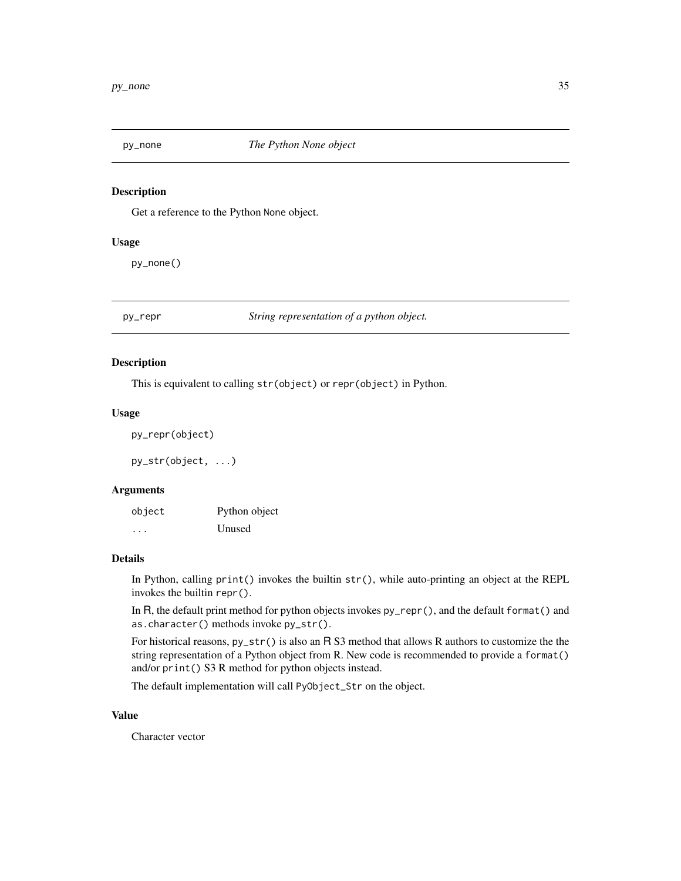<span id="page-34-0"></span>

Get a reference to the Python None object.

#### Usage

py\_none()

py\_repr *String representation of a python object.*

#### Description

This is equivalent to calling str(object) or repr(object) in Python.

#### Usage

```
py_repr(object)
```
py\_str(object, ...)

#### Arguments

object Python object ... Unused

#### Details

In Python, calling print() invokes the builtin str(), while auto-printing an object at the REPL invokes the builtin repr().

In R, the default print method for python objects invokes py\_repr(), and the default format() and as.character() methods invoke py\_str().

For historical reasons, py\_str() is also an R S3 method that allows R authors to customize the the string representation of a Python object from R. New code is recommended to provide a format() and/or print() S3 R method for python objects instead.

The default implementation will call PyObject\_Str on the object.

#### Value

Character vector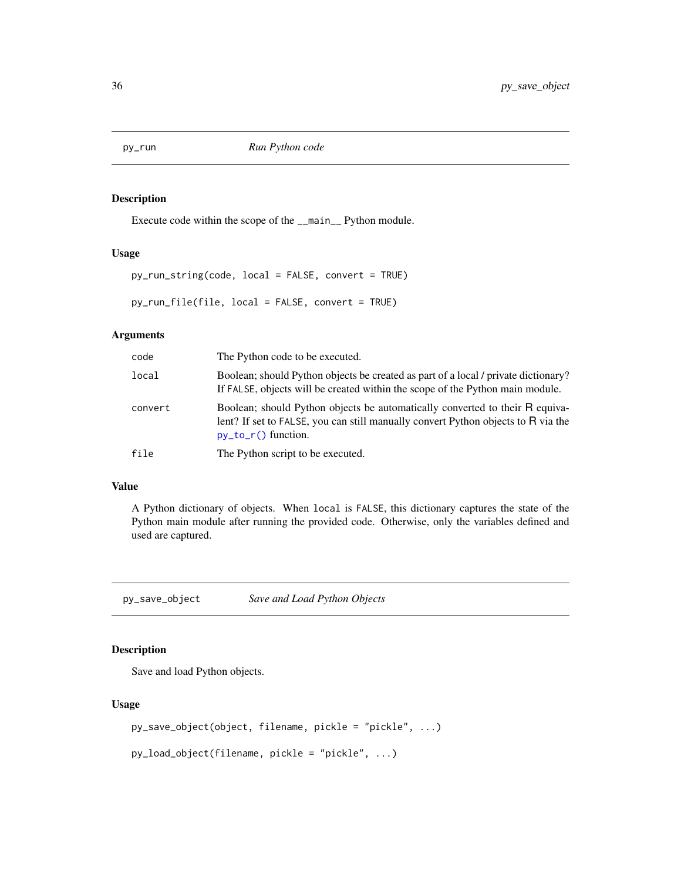<span id="page-35-1"></span><span id="page-35-0"></span>

Execute code within the scope of the \_\_main\_\_ Python module.

#### Usage

```
py_run_string(code, local = FALSE, convert = TRUE)
```
py\_run\_file(file, local = FALSE, convert = TRUE)

#### Arguments

| code    | The Python code to be executed.                                                                                                                                                            |
|---------|--------------------------------------------------------------------------------------------------------------------------------------------------------------------------------------------|
| local   | Boolean; should Python objects be created as part of a local / private dictionary?<br>If FALSE, objects will be created within the scope of the Python main module.                        |
| convert | Boolean; should Python objects be automatically converted to their R equiva-<br>lent? If set to FALSE, you can still manually convert Python objects to R via the<br>$py_to_r()$ function. |
| file    | The Python script to be executed.                                                                                                                                                          |

#### Value

A Python dictionary of objects. When local is FALSE, this dictionary captures the state of the Python main module after running the provided code. Otherwise, only the variables defined and used are captured.

py\_save\_object *Save and Load Python Objects*

#### Description

Save and load Python objects.

#### Usage

```
py_save_object(object, filename, pickle = "pickle", ...)
```

```
py_load_object(filename, pickle = "pickle", ...)
```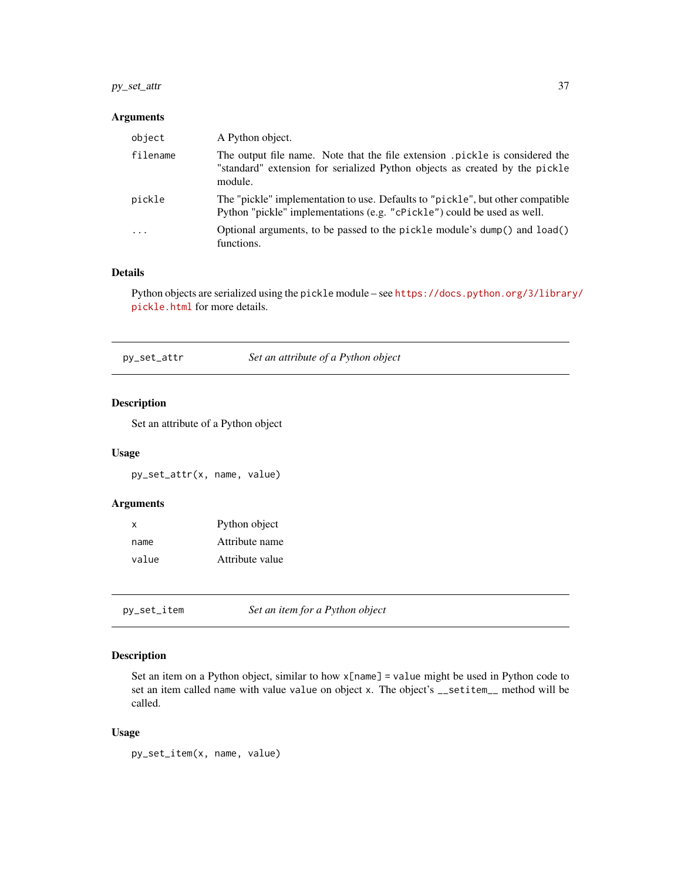#### <span id="page-36-0"></span>py\_set\_attr 37

#### Arguments

| object                  | A Python object.                                                                                                                                                      |
|-------------------------|-----------------------------------------------------------------------------------------------------------------------------------------------------------------------|
| filename                | The output file name. Note that the file extension pickle is considered the<br>"standard" extension for serialized Python objects as created by the pickle<br>module. |
| pickle                  | The "pickle" implementation to use. Defaults to "pickle", but other compatible<br>Python "pickle" implementations (e.g. "cPickle") could be used as well.             |
| $\cdot$ $\cdot$ $\cdot$ | Optional arguments, to be passed to the pickle module's dump() and load()<br>functions.                                                                               |

#### Details

Python objects are serialized using the pickle module – see [https://docs.python.org/3/librar](https://docs.python.org/3/library/pickle.html)y/ [pickle.html](https://docs.python.org/3/library/pickle.html) for more details.

| py_set_attr | Set an attribute of a Python object |  |  |
|-------------|-------------------------------------|--|--|
|             |                                     |  |  |

#### Description

Set an attribute of a Python object

#### Usage

py\_set\_attr(x, name, value)

#### Arguments

| X     | Python object   |
|-------|-----------------|
| name  | Attribute name  |
| value | Attribute value |

<span id="page-36-1"></span>py\_set\_item *Set an item for a Python object*

#### Description

Set an item on a Python object, similar to how x[name] = value might be used in Python code to set an item called name with value value on object x. The object's \_\_setitem\_\_ method will be called.

#### Usage

py\_set\_item(x, name, value)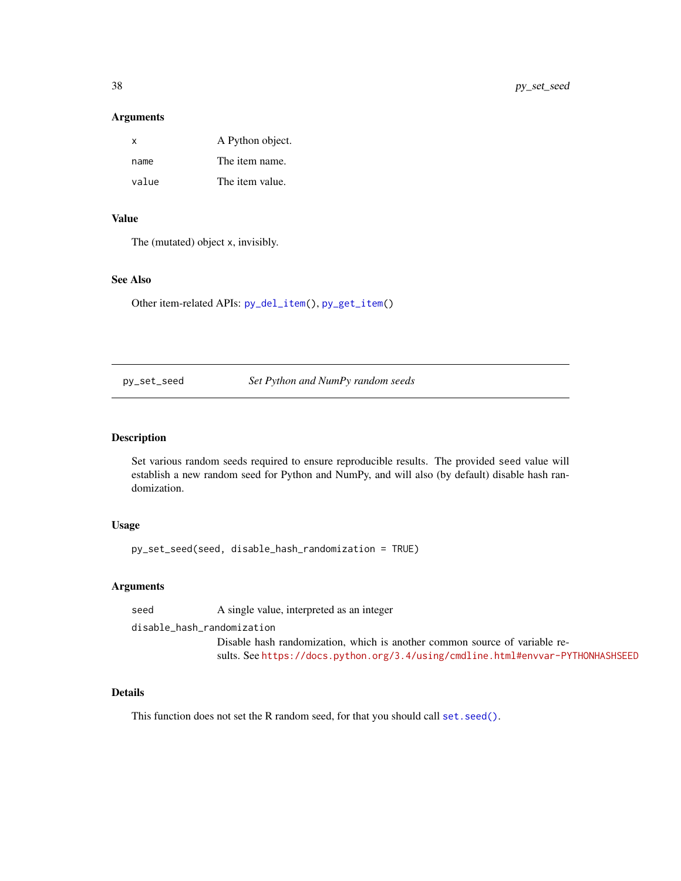#### Arguments

| $\mathsf{x}$ | A Python object. |
|--------------|------------------|
| name         | The item name.   |
| value        | The item value.  |

#### Value

The (mutated) object x, invisibly.

#### See Also

Other item-related APIs: [py\\_del\\_item\(](#page-20-2)), [py\\_get\\_item\(](#page-25-1))

py\_set\_seed *Set Python and NumPy random seeds*

#### Description

Set various random seeds required to ensure reproducible results. The provided seed value will establish a new random seed for Python and NumPy, and will also (by default) disable hash randomization.

#### Usage

py\_set\_seed(seed, disable\_hash\_randomization = TRUE)

#### Arguments

seed A single value, interpreted as an integer

disable\_hash\_randomization

Disable hash randomization, which is another common source of variable results. See <https://docs.python.org/3.4/using/cmdline.html#envvar-PYTHONHASHSEED>

#### Details

This function does not set the R random seed, for that you should call set. seed().

<span id="page-37-0"></span>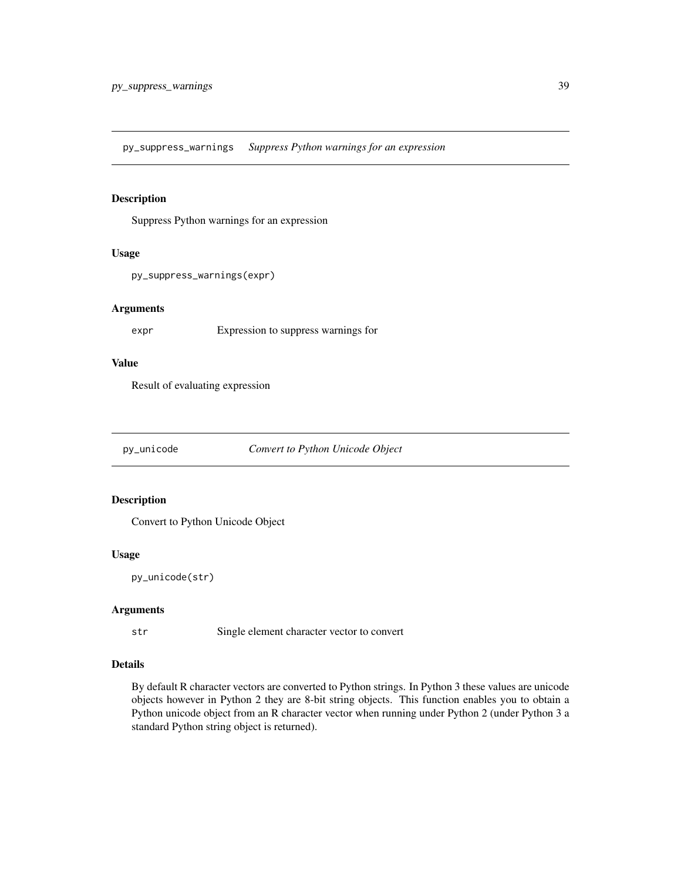<span id="page-38-0"></span>py\_suppress\_warnings *Suppress Python warnings for an expression*

#### Description

Suppress Python warnings for an expression

#### Usage

```
py_suppress_warnings(expr)
```
#### Arguments

expr Expression to suppress warnings for

#### Value

Result of evaluating expression

py\_unicode *Convert to Python Unicode Object*

#### Description

Convert to Python Unicode Object

#### Usage

```
py_unicode(str)
```
#### Arguments

str Single element character vector to convert

#### Details

By default R character vectors are converted to Python strings. In Python 3 these values are unicode objects however in Python 2 they are 8-bit string objects. This function enables you to obtain a Python unicode object from an R character vector when running under Python 2 (under Python 3 a standard Python string object is returned).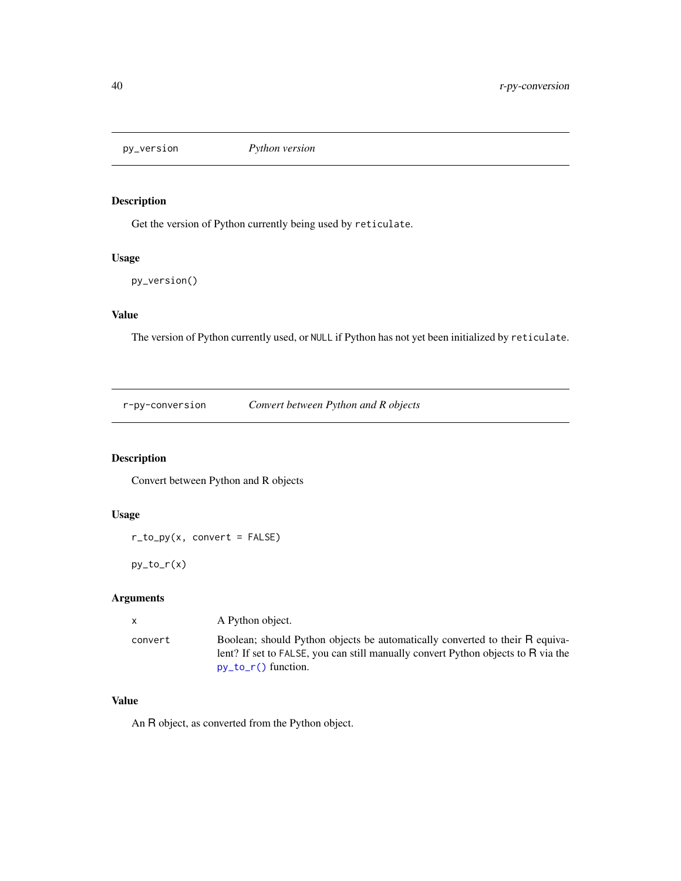<span id="page-39-0"></span>

Get the version of Python currently being used by reticulate.

#### Usage

```
py_version()
```
#### Value

The version of Python currently used, or NULL if Python has not yet been initialized by reticulate.

r-py-conversion *Convert between Python and R objects*

#### <span id="page-39-1"></span>Description

Convert between Python and R objects

#### Usage

 $r_to.py(x, convert = FALSE)$ 

 $py_to_r(x)$ 

#### Arguments

| $\mathsf{x}$ | A Python object.                                                                                                                                                                           |
|--------------|--------------------------------------------------------------------------------------------------------------------------------------------------------------------------------------------|
| convert      | Boolean; should Python objects be automatically converted to their R equiva-<br>lent? If set to FALSE, you can still manually convert Python objects to R via the<br>$py_to_r()$ function. |

#### Value

An R object, as converted from the Python object.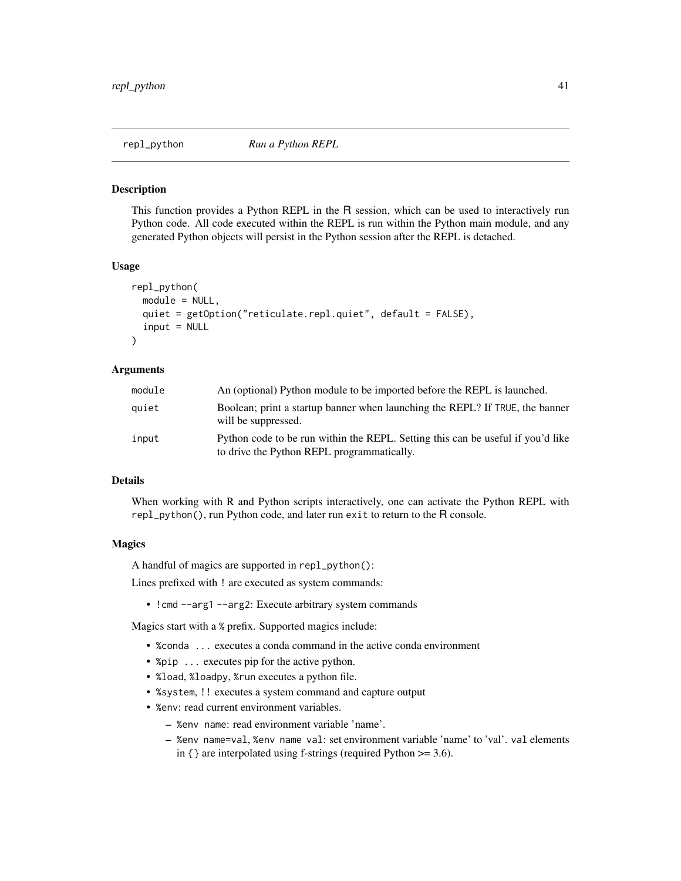<span id="page-40-0"></span>

This function provides a Python REPL in the R session, which can be used to interactively run Python code. All code executed within the REPL is run within the Python main module, and any generated Python objects will persist in the Python session after the REPL is detached.

#### Usage

```
repl_python(
  module = NULL,
  quiet = getOption("reticulate.repl.quiet", default = FALSE),
  input = NULL)
```
#### Arguments

| module | An (optional) Python module to be imported before the REPL is launched.                                                       |
|--------|-------------------------------------------------------------------------------------------------------------------------------|
| auiet  | Boolean; print a startup banner when launching the REPL? If TRUE, the banner<br>will be suppressed.                           |
| input  | Python code to be run within the REPL. Setting this can be useful if you'd like<br>to drive the Python REPL programmatically. |

#### Details

When working with R and Python scripts interactively, one can activate the Python REPL with repl\_python(), run Python code, and later run exit to return to the R console.

#### Magics

A handful of magics are supported in repl\_python():

Lines prefixed with ! are executed as system commands:

• !cmd --arg1 --arg2: Execute arbitrary system commands

Magics start with a % prefix. Supported magics include:

- %conda ... executes a conda command in the active conda environment
- %pip ... executes pip for the active python.
- %load, %loadpy, %run executes a python file.
- %system, !! executes a system command and capture output
- %env: read current environment variables.
	- %env name: read environment variable 'name'.
	- %env name=val, %env name val: set environment variable 'name' to 'val'. val elements in {} are interpolated using f-strings (required Python >= 3.6).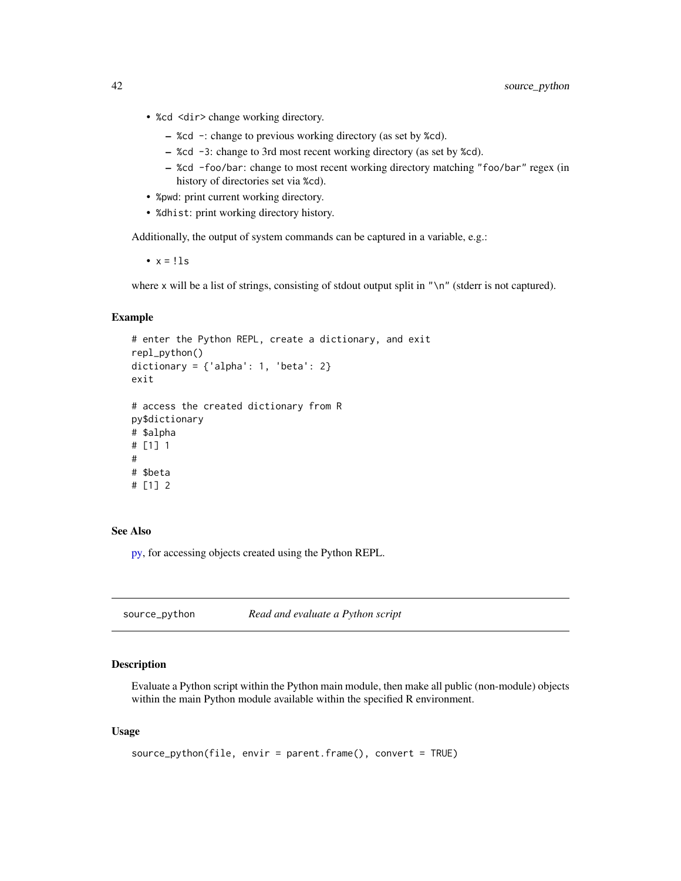- <span id="page-41-0"></span>• %cd <dir>change working directory.
	- %cd -: change to previous working directory (as set by %cd).
	- %cd -3: change to 3rd most recent working directory (as set by %cd).
	- %cd -foo/bar: change to most recent working directory matching "foo/bar" regex (in history of directories set via %cd).
- %pwd: print current working directory.
- %dhist: print working directory history.

Additionally, the output of system commands can be captured in a variable, e.g.:

•  $x = 11s$ 

where x will be a list of strings, consisting of stdout output split in " $\ln$ " (stderr is not captured).

#### Example

```
# enter the Python REPL, create a dictionary, and exit
repl_python()
dictionary = \{ 'alpha': 1, 'beta': 2 \}exit
# access the created dictionary from R
py$dictionary
# $alpha
# [1] 1
#
# $beta
# [1] 2
```
#### See Also

[py,](#page-15-1) for accessing objects created using the Python REPL.

source\_python *Read and evaluate a Python script*

#### Description

Evaluate a Python script within the Python main module, then make all public (non-module) objects within the main Python module available within the specified R environment.

#### Usage

```
source_python(file, envir = parent.frame(), convert = TRUE)
```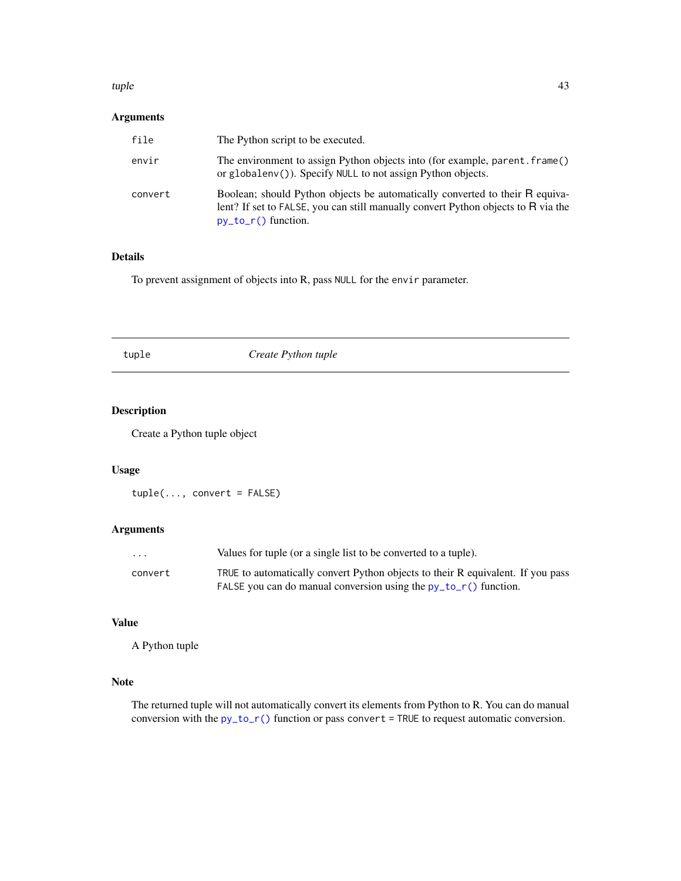#### <span id="page-42-0"></span>tuple that the contract of the contract of the contract of the contract of the contract of the contract of the contract of the contract of the contract of the contract of the contract of the contract of the contract of the

#### Arguments

| file    | The Python script to be executed.                                                                                                                                                          |
|---------|--------------------------------------------------------------------------------------------------------------------------------------------------------------------------------------------|
| envir   | The environment to assign Python objects into (for example, parent. frame()<br>or globaleny ()). Specify NULL to not assign Python objects.                                                |
| convert | Boolean; should Python objects be automatically converted to their R equiva-<br>lent? If set to FALSE, you can still manually convert Python objects to R via the<br>$py_to_r()$ function. |

#### Details

To prevent assignment of objects into R, pass NULL for the envir parameter.

tuple *Create Python tuple*

#### Description

Create a Python tuple object

#### Usage

tuple(..., convert = FALSE)

#### Arguments

| $\cdot$ $\cdot$ $\cdot$ | Values for tuple (or a single list to be converted to a tuple).                 |
|-------------------------|---------------------------------------------------------------------------------|
| convert                 | TRUE to automatically convert Python objects to their R equivalent. If you pass |
|                         | FALSE you can do manual conversion using the $py_to_r()$ function.              |

#### Value

A Python tuple

#### Note

The returned tuple will not automatically convert its elements from Python to R. You can do manual conversion with the  $py_to_r()$  function or pass convert = TRUE to request automatic conversion.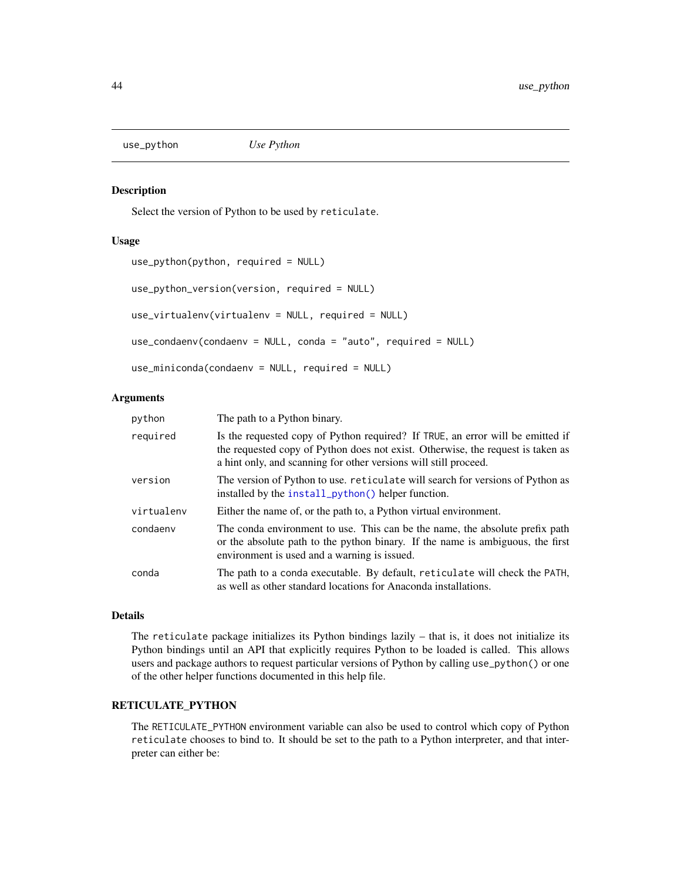<span id="page-43-0"></span>use\_python *Use Python*

#### Description

Select the version of Python to be used by reticulate.

#### Usage

```
use_python(python, required = NULL)
use_python_version(version, required = NULL)
use_virtualenv(virtualenv = NULL, required = NULL)
use_condaenv(condaenv = NULL, conda = "auto", required = NULL)
use_miniconda(condaenv = NULL, required = NULL)
```
#### Arguments

| python     | The path to a Python binary.                                                                                                                                                                                                          |
|------------|---------------------------------------------------------------------------------------------------------------------------------------------------------------------------------------------------------------------------------------|
| required   | Is the requested copy of Python required? If TRUE, an error will be emitted if<br>the requested copy of Python does not exist. Otherwise, the request is taken as<br>a hint only, and scanning for other versions will still proceed. |
| version    | The version of Python to use. reticulate will search for versions of Python as<br>installed by the install_python() helper function.                                                                                                  |
| virtualenv | Either the name of, or the path to, a Python virtual environment.                                                                                                                                                                     |
| condaenv   | The conda environment to use. This can be the name, the absolute prefix path<br>or the absolute path to the python binary. If the name is ambiguous, the first<br>environment is used and a warning is issued.                        |
| conda      | The path to a conda executable. By default, reticulate will check the PATH,<br>as well as other standard locations for Anaconda installations.                                                                                        |

#### Details

The reticulate package initializes its Python bindings lazily – that is, it does not initialize its Python bindings until an API that explicitly requires Python to be loaded is called. This allows users and package authors to request particular versions of Python by calling use\_python() or one of the other helper functions documented in this help file.

#### RETICULATE\_PYTHON

The RETICULATE\_PYTHON environment variable can also be used to control which copy of Python reticulate chooses to bind to. It should be set to the path to a Python interpreter, and that interpreter can either be: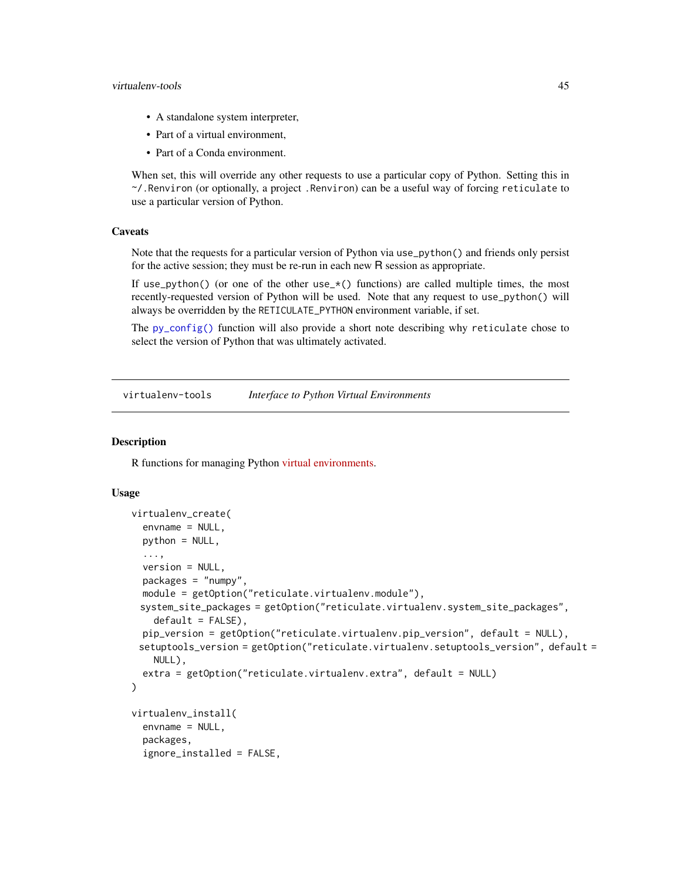#### <span id="page-44-0"></span>virtualenv-tools 45

- A standalone system interpreter,
- Part of a virtual environment,
- Part of a Conda environment.

When set, this will override any other requests to use a particular copy of Python. Setting this in ~/.Renviron (or optionally, a project .Renviron) can be a useful way of forcing reticulate to use a particular version of Python.

#### **Caveats**

Note that the requests for a particular version of Python via use\_python() and friends only persist for the active session; they must be re-run in each new R session as appropriate.

If use\_python() (or one of the other use\_ $*($ ) functions) are called multiple times, the most recently-requested version of Python will be used. Note that any request to use\_python() will always be overridden by the RETICULATE\_PYTHON environment variable, if set.

The [py\\_config\(\)](#page-19-1) function will also provide a short note describing why reticulate chose to select the version of Python that was ultimately activated.

virtualenv-tools *Interface to Python Virtual Environments*

#### <span id="page-44-1"></span>**Description**

R functions for managing Python [virtual environments.](https://virtualenv.pypa.io/en/stable/)

#### Usage

```
virtualenv_create(
  envname = NULL,
 python = NULL,
  ...,
  version = NULL,
  packages = "numpy",
 module = getOption("reticulate.virtualenv.module"),
 system_site_packages = getOption("reticulate.virtualenv.system_site_packages",
    default = FALSE,
 pip_version = getOption("reticulate.virtualenv.pip_version", default = NULL),
 setuptools_version = getOption("reticulate.virtualenv.setuptools_version", default =
    NULL),
  extra = getOption("reticulate.virtualenv.extra", default = NULL)
)
virtualenv_install(
  envname = NULL,
  packages,
  ignore_installed = FALSE,
```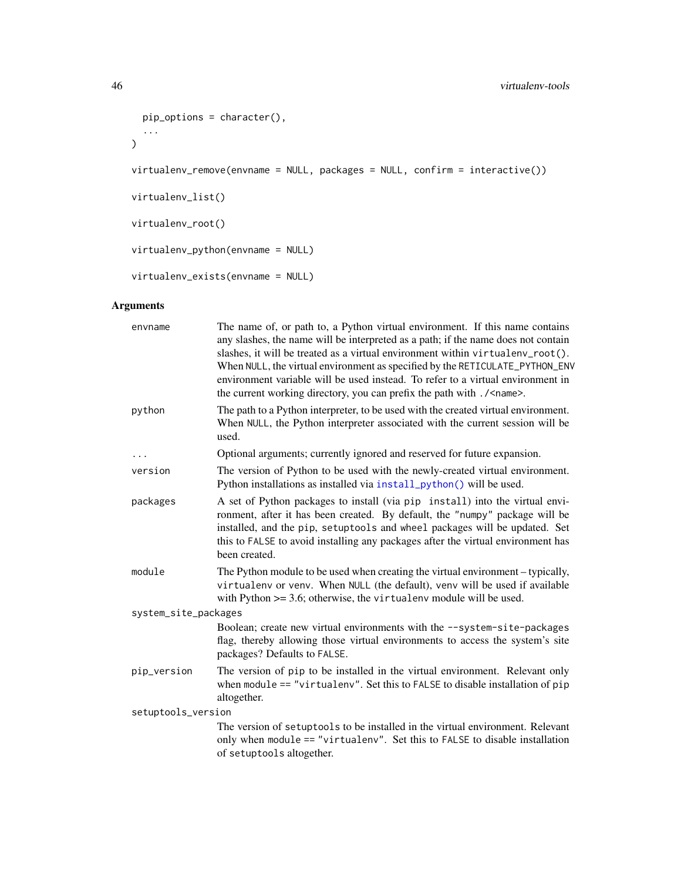```
pip_options = character(),
  ...
\mathcal{L}virtualenv_remove(envname = NULL, packages = NULL, confirm = interactive())
virtualenv_list()
virtualenv_root()
virtualenv_python(envname = NULL)
virtualenv_exists(envname = NULL)
```

| envname              | The name of, or path to, a Python virtual environment. If this name contains<br>any slashes, the name will be interpreted as a path; if the name does not contain<br>slashes, it will be treated as a virtual environment within virtualenv_root().<br>When NULL, the virtual environment as specified by the RETICULATE_PYTHON_ENV<br>environment variable will be used instead. To refer to a virtual environment in<br>the current working directory, you can prefix the path with . / <name>.</name> |
|----------------------|----------------------------------------------------------------------------------------------------------------------------------------------------------------------------------------------------------------------------------------------------------------------------------------------------------------------------------------------------------------------------------------------------------------------------------------------------------------------------------------------------------|
| python               | The path to a Python interpreter, to be used with the created virtual environment.<br>When NULL, the Python interpreter associated with the current session will be<br>used.                                                                                                                                                                                                                                                                                                                             |
| $\cdots$             | Optional arguments; currently ignored and reserved for future expansion.                                                                                                                                                                                                                                                                                                                                                                                                                                 |
| version              | The version of Python to be used with the newly-created virtual environment.<br>Python installations as installed via install_python() will be used.                                                                                                                                                                                                                                                                                                                                                     |
| packages             | A set of Python packages to install (via pip install) into the virtual envi-<br>ronment, after it has been created. By default, the "numpy" package will be<br>installed, and the pip, setuptools and wheel packages will be updated. Set<br>this to FALSE to avoid installing any packages after the virtual environment has<br>been created.                                                                                                                                                           |
| module               | The Python module to be used when creating the virtual environment – typically,<br>virtualenv or venv. When NULL (the default), venv will be used if available<br>with Python $>=$ 3.6; otherwise, the virtualenv module will be used.                                                                                                                                                                                                                                                                   |
| system_site_packages |                                                                                                                                                                                                                                                                                                                                                                                                                                                                                                          |
|                      | Boolean; create new virtual environments with the --system-site-packages<br>flag, thereby allowing those virtual environments to access the system's site<br>packages? Defaults to FALSE.                                                                                                                                                                                                                                                                                                                |
| pip_version          | The version of pip to be installed in the virtual environment. Relevant only<br>when module $==$ "virtualenv". Set this to FALSE to disable installation of pip<br>altogether.                                                                                                                                                                                                                                                                                                                           |
| setuptools_version   |                                                                                                                                                                                                                                                                                                                                                                                                                                                                                                          |
|                      | The version of setuptools to be installed in the virtual environment. Relevant<br>only when module == "virtualenv". Set this to FALSE to disable installation<br>of setuptools altogether.                                                                                                                                                                                                                                                                                                               |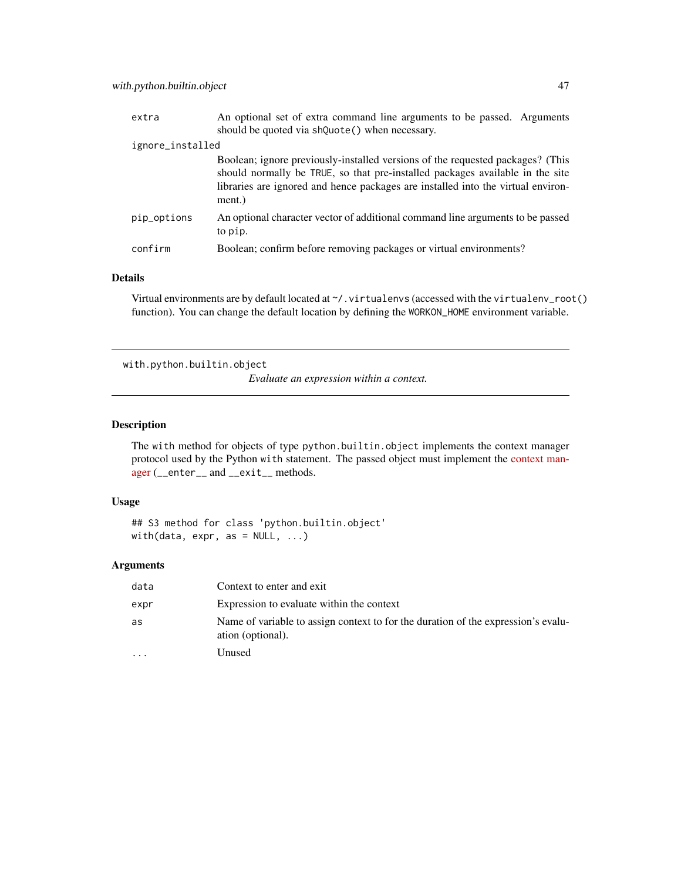<span id="page-46-0"></span>

| extra            | An optional set of extra command line arguments to be passed. Arguments                                                                                                                                                                                       |  |
|------------------|---------------------------------------------------------------------------------------------------------------------------------------------------------------------------------------------------------------------------------------------------------------|--|
|                  | should be quoted via shQuote() when necessary.                                                                                                                                                                                                                |  |
| ignore_installed |                                                                                                                                                                                                                                                               |  |
|                  | Boolean; ignore previously-installed versions of the requested packages? (This<br>should normally be TRUE, so that pre-installed packages available in the site<br>libraries are ignored and hence packages are installed into the virtual environ-<br>ment.) |  |
| pip_options      | An optional character vector of additional command line arguments to be passed<br>to pip.                                                                                                                                                                     |  |
| confirm          | Boolean; confirm before removing packages or virtual environments?                                                                                                                                                                                            |  |

#### Details

Virtual environments are by default located at  $\gamma$ . virtualenvs (accessed with the virtualenv\_root() function). You can change the default location by defining the WORKON\_HOME environment variable.

with.python.builtin.object

*Evaluate an expression within a context.*

#### Description

The with method for objects of type python.builtin.object implements the context manager protocol used by the Python with statement. The passed object must implement the [context man](https://docs.python.org/2/reference/datamodel.html#context-managers)[ager](https://docs.python.org/2/reference/datamodel.html#context-managers) (\_\_enter\_\_ and \_\_exit\_\_ methods.

#### Usage

## S3 method for class 'python.builtin.object' with(data, expr, as = NULL, ...)

| data      | Context to enter and exit                                                                              |
|-----------|--------------------------------------------------------------------------------------------------------|
| expr      | Expression to evaluate within the context                                                              |
| as        | Name of variable to assign context to for the duration of the expression's evalu-<br>ation (optional). |
| $\ddotsc$ | Unused                                                                                                 |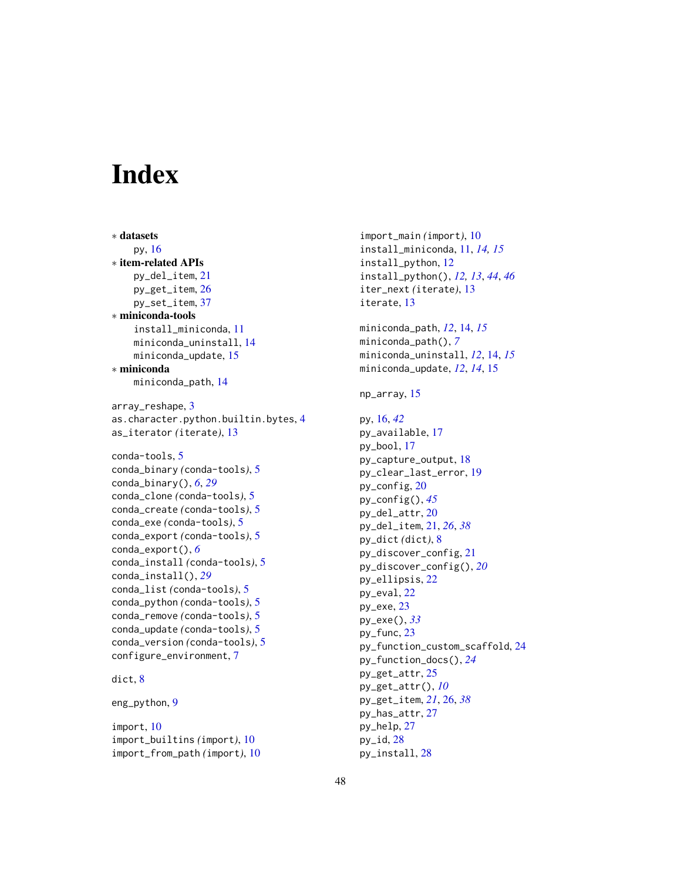# <span id="page-47-0"></span>**Index**

∗ datasets py, [16](#page-15-0) ∗ item-related APIs py\_del\_item, [21](#page-20-0) py\_get\_item, [26](#page-25-0) py\_set\_item, [37](#page-36-0) ∗ miniconda-tools install\_miniconda, [11](#page-10-0) miniconda\_uninstall, [14](#page-13-0) miniconda\_update, [15](#page-14-0) ∗ miniconda miniconda\_path, [14](#page-13-0) array\_reshape, [3](#page-2-0) as.character.python.builtin.bytes, [4](#page-3-0) as\_iterator *(*iterate*)*, [13](#page-12-0) conda-tools, [5](#page-4-0) conda\_binary *(*conda-tools*)*, [5](#page-4-0) conda\_binary(), *[6](#page-5-0)*, *[29](#page-28-0)* conda\_clone *(*conda-tools*)*, [5](#page-4-0) conda\_create *(*conda-tools*)*, [5](#page-4-0) conda\_exe *(*conda-tools*)*, [5](#page-4-0) conda\_export *(*conda-tools*)*, [5](#page-4-0) conda\_export(), *[6](#page-5-0)* conda\_install *(*conda-tools*)*, [5](#page-4-0) conda\_install(), *[29](#page-28-0)* conda\_list *(*conda-tools*)*, [5](#page-4-0) conda\_python *(*conda-tools*)*, [5](#page-4-0) conda\_remove *(*conda-tools*)*, [5](#page-4-0) conda\_update *(*conda-tools*)*, [5](#page-4-0) conda\_version *(*conda-tools*)*, [5](#page-4-0)

#### dict, [8](#page-7-0)

eng\_python, [9](#page-8-0)

import, [10](#page-9-0) import\_builtins *(*import*)*, [10](#page-9-0) import\_from\_path *(*import*)*, [10](#page-9-0)

configure\_environment, [7](#page-6-0)

import\_main *(*import*)*, [10](#page-9-0) install\_miniconda, [11,](#page-10-0) *[14,](#page-13-0) [15](#page-14-0)* install\_python, [12](#page-11-0) install\_python(), *[12,](#page-11-0) [13](#page-12-0)*, *[44](#page-43-0)*, *[46](#page-45-0)* iter\_next *(*iterate*)*, [13](#page-12-0) iterate, [13](#page-12-0) miniconda\_path, *[12](#page-11-0)*, [14,](#page-13-0) *[15](#page-14-0)* miniconda\_path(), *[7](#page-6-0)* miniconda\_uninstall, *[12](#page-11-0)*, [14,](#page-13-0) *[15](#page-14-0)* miniconda\_update, *[12](#page-11-0)*, *[14](#page-13-0)*, [15](#page-14-0) np\_array, [15](#page-14-0) py, [16,](#page-15-0) *[42](#page-41-0)* py\_available, [17](#page-16-0) py\_bool, [17](#page-16-0) py\_capture\_output, [18](#page-17-0) py\_clear\_last\_error, [19](#page-18-0) py\_config, [20](#page-19-0) py\_config(), *[45](#page-44-0)* py\_del\_attr, [20](#page-19-0) py\_del\_item, [21,](#page-20-0) *[26](#page-25-0)*, *[38](#page-37-0)* py\_dict *(*dict*)*, [8](#page-7-0) py\_discover\_config, [21](#page-20-0) py\_discover\_config(), *[20](#page-19-0)* py\_ellipsis, [22](#page-21-0) py\_eval, [22](#page-21-0) py\_exe, [23](#page-22-0) py\_exe(), *[33](#page-32-0)* py\_func, [23](#page-22-0) py\_function\_custom\_scaffold, [24](#page-23-0) py\_function\_docs(), *[24](#page-23-0)* py\_get\_attr, [25](#page-24-0) py\_get\_attr(), *[10](#page-9-0)* py\_get\_item, *[21](#page-20-0)*, [26,](#page-25-0) *[38](#page-37-0)* py\_has\_attr, [27](#page-26-0) py\_help, [27](#page-26-0) py\_id, [28](#page-27-0) py\_install, [28](#page-27-0)